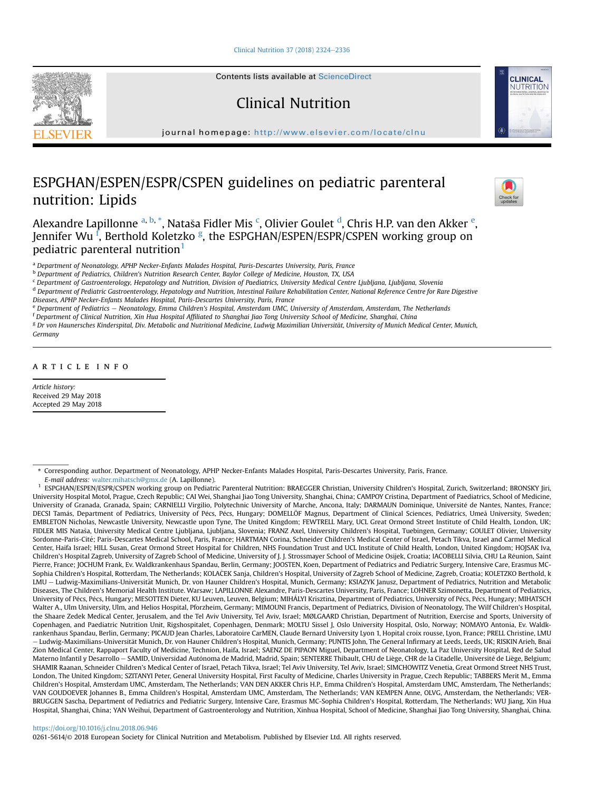[Clinical Nutrition 37 \(2018\) 2324](https://doi.org/10.1016/j.clnu.2018.06.946)-[2336](https://doi.org/10.1016/j.clnu.2018.06.946)



Contents lists available at ScienceDirect

# Clinical Nutrition

journal homepage: <http://www.elsevier.com/locate/clnu>

# ESPGHAN/ESPEN/ESPR/CSPEN guidelines on pediatric parenteral nutrition: Lipids



**CLINICAL** NUTRITION

Alexandre Lapillonne <sup>a, b,</sup> \*, Nataša Fidler Mis <sup>c</sup>, Olivier Goulet <sup>d</sup>, Chris H.P. van den Akker <sup>e</sup>, Jennifer Wu <sup>f</sup>, Berthold Koletzko <sup>g</sup>, the ESPGHAN/ESPEN/ESPR/CSPEN working group on pediatric parenteral nutrition<sup>1</sup>

<sup>a</sup> Department of Neonatology, APHP Necker-Enfants Malades Hospital, Paris-Descartes University, Paris, France

<sup>b</sup> Department of Pediatrics, Children's Nutrition Research Center, Baylor College of Medicine, Houston, TX, USA

<sup>c</sup> Department of Gastroenterology, Hepatology and Nutrition, Division of Paediatrics, University Medical Centre Ljubljana, Ljubljana, Slovenia

<sup>d</sup> Department of Pediatric Gastroenterology, Hepatology and Nutrition, Intestinal Failure Rehabilitation Center, National Reference Centre for Rare Digestive Diseases, APHP Necker-Enfants Malades Hospital, Paris-Descartes University, Paris, France

e Department of Pediatrics - Neonatology, Emma Children's Hospital, Amsterdam UMC, University of Amsterdam, Amsterdam, The Netherlands

<sup>f</sup> Department of Clinical Nutrition, Xin Hua Hospital Affiliated to Shanghai Jiao Tong University School of Medicine, Shanghai, China

<sup>g</sup> Dr von Haunersches Kinderspital, Div. Metabolic and Nutritional Medicine, Ludwig Maximilian Universität, University of Munich Medical Center, Munich, Germany

article info

Article history: Received 29 May 2018 Accepted 29 May 2018

E-mail address: [walter.mihatsch@gmx.de](mailto:walter.mihatsch@gmx.de) (A. Lapillonne).

<sup>1</sup> ESPGHAN/ESPEN/ESPR/CSPEN working group on Pediatric Parenteral Nutrition: BRAEGGER Christian, University Children's Hospital, Zurich, Switzerland; BRONSKY Jiri, University Hospital Motol, Prague, Czech Republic; CAI Wei, Shanghai Jiao Tong University, Shanghai, China; CAMPOY Cristina, Department of Paediatrics, School of Medicine, University of Granada, Granada, Spain; CARNIELLI Virgilio, Polytechnic University of Marche, Ancona, Italy; DARMAUN Dominique, Universite de Nantes, Nantes, France; DECSI Tamás, Department of Pediatrics, University of Pécs, Pécs, Hungary; DOMELLÖF Magnus, Department of Clinical Sciences, Pediatrics, Umeå University, Sweden; EMBLETON Nicholas, Newcastle University, Newcastle upon Tyne, The United Kingdom; FEWTRELL Mary, UCL Great Ormond Street Institute of Child Health, London, UK; FIDLER MIS Natasa, University Medical Centre Ljubljana, Ljubljana, Slovenia; FRANZ Axel, University Children's Hospital, Tuebingen, Germany; GOULET Olivier, University Sordonne-Paris-Cité; Paris-Descartes Medical School, Paris, France; HARTMAN Corina, Schneider Children's Medical Center of Israel, Petach Tikva, Israel and Carmel Medical Center, Haifa Israel; HILL Susan, Great Ormond Street Hospital for Children, NHS Foundation Trust and UCL Institute of Child Health, London, United Kingdom; HOJSAK Iva, Children's Hospital Zagreb, University of Zagreb School of Medicine, University of J. J. Strossmayer School of Medicine Osijek, Croatia; IACOBELLI Silvia, CHU La Reunion, Saint Pierre, France; JOCHUM Frank, Ev. Waldkrankenhaus Spandau, Berlin, Germany; JOOSTEN, Koen, Department of Pediatrics and Pediatric Surgery, Intensive Care, Erasmus MC-Sophia Children's Hospital, Rotterdam, The Netherlands; KOLAČEK Sanja, Children's Hospital, University of Zagreb School of Medicine, Zagreb, Croatia; KOLETZKO Berthold, k LMU - Ludwig-Maximilians-Universität Munich, Dr. von Hauner Children's Hospital, Munich, Germany; KSIAZYK Janusz, Department of Pediatrics, Nutrition and Metabolic Diseases, The Children's Memorial Health Institute. Warsaw; LAPILLONNE Alexandre, Paris-Descartes University, Paris, France; LOHNER Szimonetta, Department of Pediatrics, University of Pécs, Pécs, Hungary; MESOTTEN Dieter, KU Leuven, Leuven, Belgium; MIHÁLYI Krisztina, Department of Pediatrics, University of Pécs, Pécs, Hungary; MIHATSCH Walter A., Ulm University, Ulm, and Helios Hospital, Pforzheim, Germany; MIMOUNI Francis, Department of Pediatrics, Division of Neonatology, The Wilf Children's Hospital, the Shaare Zedek Medical Center, Jerusalem, and the Tel Aviv University, Tel Aviv, Israel; MØLGAARD Christian, Department of Nutrition, Exercise and Sports, University of Copenhagen, and Paediatric Nutrition Unit, Rigshospitalet, Copenhagen, Denmark; MOLTU Sissel J, Oslo University Hospital, Oslo, Norway; NOMAYO Antonia, Ev. Waldkrankenhaus Spandau, Berlin, Germany; PICAUD Jean Charles, Laboratoire CarMEN, Claude Bernard University Lyon 1, Hopital croix rousse, Lyon, France; PRELL Christine, LMU – Ludwig-Maximilians-Universität Munich, Dr. von Hauner Children's Hospital, Munich, Germany; PUNTIS John, The General Infirmary at Leeds, Leeds, UK; RISKIN Arieh, Bnai Zion Medical Center, Rappaport Faculty of Medicine, Technion, Haifa, Israel; SAENZ DE PIPAON Miguel, Department of Neonatology, La Paz University Hospital, Red de Salud Materno Infantil y Desarrollo - SAMID, Universidad Autónoma de Madrid, Madrid, Spain; SENTERRE Thibault, CHU de Liège, CHR de la Citadelle, Université de Liège, Belgium; SHAMIR Raanan, Schneider Children's Medical Center of Israel, Petach Tikva, Israel; Tel Aviv University, Tel Aviv, Israel; SIMCHOWITZ Venetia, Great Ormond Street NHS Trust, London, The United Kingdom; SZITANYI Peter, General University Hospital, First Faculty of Medicine, Charles University in Prague, Czech Republic; TABBERS Merit M., Emma Children's Hospital, Amsterdam UMC, Amsterdam, The Netherlands; VAN DEN AKKER Chris H.P., Emma Children's Hospital, Amsterdam UMC, Amsterdam, The Netherlands; VAN GOUDOEVER Johannes B., Emma Children's Hospital, Amsterdam UMC, Amsterdam, The Netherlands; VAN KEMPEN Anne, OLVG, Amsterdam, the Netherlands; VER-BRUGGEN Sascha, Department of Pediatrics and Pediatric Surgery, Intensive Care, Erasmus MC-Sophia Children's Hospital, Rotterdam, The Netherlands; WU Jiang, Xin Hua Hospital, Shanghai, China; YAN Weihui, Department of Gastroenterology and Nutrition, Xinhua Hospital, School of Medicine, Shanghai Jiao Tong University, Shanghai, China.

#### <https://doi.org/10.1016/j.clnu.2018.06.946>

0261-5614/© 2018 European Society for Clinical Nutrition and Metabolism. Published by Elsevier Ltd. All rights reserved.

<sup>\*</sup> Corresponding author. Department of Neonatology, APHP Necker-Enfants Malades Hospital, Paris-Descartes University, Paris, France.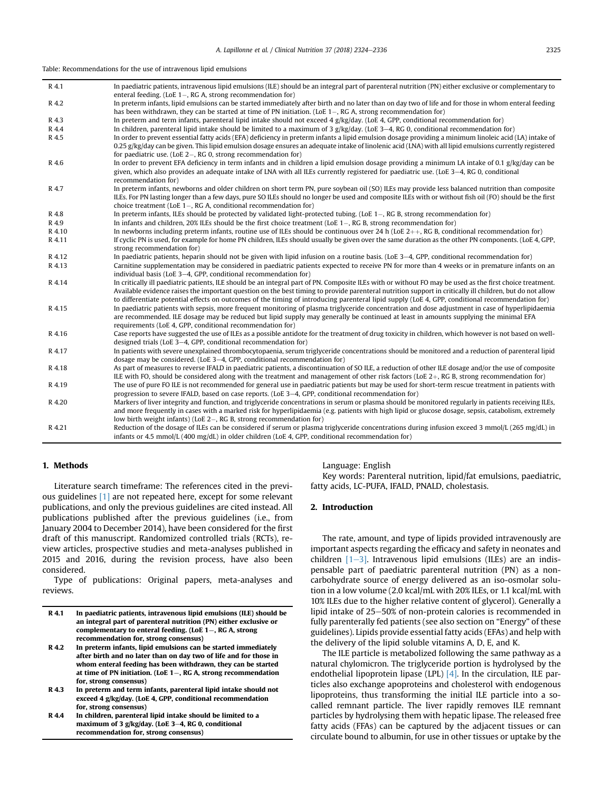Table: Recommendations for the use of intravenous lipid emulsions

| R 4.1  | In paediatric patients, intravenous lipid emulsions (ILE) should be an integral part of parenteral nutrition (PN) either exclusive or complementary to<br>enteral feeding. (LoE $1-$ , RG A, strong recommendation for)                                                                                             |
|--------|---------------------------------------------------------------------------------------------------------------------------------------------------------------------------------------------------------------------------------------------------------------------------------------------------------------------|
| R 4.2  | In preterm infants, lipid emulsions can be started immediately after birth and no later than on day two of life and for those in whom enteral feeding                                                                                                                                                               |
|        | has been withdrawn, they can be started at time of PN initiation. (LoE $1 -$ , RG A, strong recommendation for)                                                                                                                                                                                                     |
| R 4.3  | In preterm and term infants, parenteral lipid intake should not exceed $4 g/kg/day$ . (LoE 4, GPP, conditional recommendation for)                                                                                                                                                                                  |
| R 4.4  | In children, parenteral lipid intake should be limited to a maximum of $3$ g/kg/day. (LoE 3-4, RG 0, conditional recommendation for)                                                                                                                                                                                |
| R 4.5  | In order to prevent essential fatty acids (EFA) deficiency in preterm infants a lipid emulsion dosage providing a minimum linoleic acid (LA) intake of                                                                                                                                                              |
|        | 0.25 g/kg/day can be given. This lipid emulsion dosage ensures an adequate intake of linolenic acid (LNA) with all lipid emulsions currently registered                                                                                                                                                             |
|        | for paediatric use, (LoE $2-$ , RG 0, strong recommendation for)                                                                                                                                                                                                                                                    |
| R 4.6  | In order to prevent EFA deficiency in term infants and in children a lipid emulsion dosage providing a minimum LA intake of 0.1 $g/kg/day$ can be<br>given, which also provides an adequate intake of LNA with all ILEs currently registered for paediatric use. (LoE 3–4, RG 0, conditional<br>recommendation for) |
| R 4.7  | In preterm infants, newborns and older children on short term PN, pure soybean oil (SO) ILEs may provide less balanced nutrition than composite                                                                                                                                                                     |
|        | ILEs. For PN lasting longer than a few days, pure SO ILEs should no longer be used and composite ILEs with or without fish oil (FO) should be the first<br>choice treatment (LoE $1-$ , RG A, conditional recommendation for)                                                                                       |
| R 4.8  | In preterm infants, ILEs should be protected by validated light-protected tubing. (LoE $1-$ , RG B, strong recommendation for)                                                                                                                                                                                      |
| R 4.9  | In infants and children, 20% ILEs should be the first choice treatment (LoE 1–, RG B, strong recommendation for)                                                                                                                                                                                                    |
| R 4.10 | In newborns including preterm infants, routine use of ILEs should be continuous over 24 h (LoE $2++$ , RG B, conditional recommendation for)                                                                                                                                                                        |
| R 4.11 | If cyclic PN is used, for example for home PN children, ILEs should usually be given over the same duration as the other PN components. (LoE 4, GPP,                                                                                                                                                                |
|        | strong recommendation for)                                                                                                                                                                                                                                                                                          |
| R 4.12 | In paediatric patients, heparin should not be given with lipid infusion on a routine basis. (LoE $3-4$ , GPP, conditional recommendation for)                                                                                                                                                                       |
| R 4.13 | Carnitine supplementation may be considered in paediatric patients expected to receive PN for more than 4 weeks or in premature infants on an                                                                                                                                                                       |
|        | individual basis (LoE 3-4, GPP, conditional recommendation for)                                                                                                                                                                                                                                                     |
| R 4.14 | In critically ill paediatric patients, ILE should be an integral part of PN. Composite ILEs with or without FO may be used as the first choice treatment.                                                                                                                                                           |
|        | Available evidence raises the important question on the best timing to provide parenteral nutrition support in critically ill children, but do not allow                                                                                                                                                            |
|        | to differentiate potential effects on outcomes of the timing of introducing parenteral lipid supply (LoE 4, GPP, conditional recommendation for)                                                                                                                                                                    |
| R 4.15 | In paediatric patients with sepsis, more frequent monitoring of plasma triglyceride concentration and dose adjustment in case of hyperlipidaemia                                                                                                                                                                    |
|        | are recommended. ILE dosage may be reduced but lipid supply may generally be continued at least in amounts supplying the minimal EFA                                                                                                                                                                                |
|        | requirements (LoE 4, GPP, conditional recommendation for)                                                                                                                                                                                                                                                           |
| R 4.16 | Case reports have suggested the use of ILEs as a possible antidote for the treatment of drug toxicity in children, which however is not based on well-                                                                                                                                                              |
|        | designed trials (LoE 3-4, GPP, conditional recommendation for)                                                                                                                                                                                                                                                      |
| R 4.17 | In patients with severe unexplained thrombocytopaenia, serum triglyceride concentrations should be monitored and a reduction of parenteral lipid                                                                                                                                                                    |
|        | dosage may be considered. (LoE $3-4$ , GPP, conditional recommendation for)                                                                                                                                                                                                                                         |
| R 4.18 | As part of measures to reverse IFALD in paediatric patients, a discontinuation of SO ILE, a reduction of other ILE dosage and/or the use of composite                                                                                                                                                               |
|        | ILE with FO, should be considered along with the treatment and management of other risk factors (LoE $2+$ , RG B, strong recommendation for)                                                                                                                                                                        |
| R 4.19 | The use of pure FO ILE is not recommended for general use in paediatric patients but may be used for short-term rescue treatment in patients with                                                                                                                                                                   |
|        | progression to severe IFALD, based on case reports. (LoE 3-4, GPP, conditional recommendation for)                                                                                                                                                                                                                  |
| R 4.20 | Markers of liver integrity and function, and triglyceride concentrations in serum or plasma should be monitored regularly in patients receiving ILEs,                                                                                                                                                               |
|        | and more frequently in cases with a marked risk for hyperlipidaemia (e.g. patients with high lipid or glucose dosage, sepsis, catabolism, extremely                                                                                                                                                                 |
|        | low birth weight infants) (LoE $2-$ , RG B, strong recommendation for)                                                                                                                                                                                                                                              |
| R 4.21 | Reduction of the dosage of ILEs can be considered if serum or plasma triglyceride concentrations during infusion exceed 3 mmol/L (265 mg/dL) in                                                                                                                                                                     |
|        | infants or 4.5 mmol/L (400 mg/dL) in older children (LoE 4, GPP, conditional recommendation for)                                                                                                                                                                                                                    |

## 1. Methods

Literature search timeframe: The references cited in the previous guidelines [\[1\]](#page-9-0) are not repeated here, except for some relevant publications, and only the previous guidelines are cited instead. All publications published after the previous guidelines (i.e., from January 2004 to December 2014), have been considered for the first draft of this manuscript. Randomized controlled trials (RCTs), review articles, prospective studies and meta-analyses published in 2015 and 2016, during the revision process, have also been considered.

Type of publications: Original papers, meta-analyses and reviews.

| R 4.1 | In paediatric patients, intravenous lipid emulsions (ILE) should be |
|-------|---------------------------------------------------------------------|
|       | an integral part of parenteral nutrition (PN) either exclusive or   |
|       | complementary to enteral feeding. (LoE 1–, RG A, strong             |
|       | recommendation for, strong consensus)                               |

- R 4.2 In preterm infants, lipid emulsions can be started immediately after birth and no later than on day two of life and for those in whom enteral feeding has been withdrawn, they can be started at time of PN initiation. (LoE  $1-$ , RG A, strong recommendation for, strong consensus)
- R 4.3 In preterm and term infants, parenteral lipid intake should not exceed 4 g/kg/day. (LoE 4, GPP, conditional recommendation for, strong consensus)
- R 4.4 In children, parenteral lipid intake should be limited to a maximum of 3 g/kg/day. (LoE 3-4, RG 0, conditional recommendation for, strong consensus)

Language: English

Key words: Parenteral nutrition, lipid/fat emulsions, paediatric, fatty acids, LC-PUFA, IFALD, PNALD, cholestasis.

### 2. Introduction

The rate, amount, and type of lipids provided intravenously are important aspects regarding the efficacy and safety in neonates and children  $[1-3]$  $[1-3]$ . Intravenous lipid emulsions (ILEs) are an indispensable part of paediatric parenteral nutrition (PN) as a noncarbohydrate source of energy delivered as an iso-osmolar solution in a low volume (2.0 kcal/mL with 20% ILEs, or 1.1 kcal/mL with 10% ILEs due to the higher relative content of glycerol). Generally a lipid intake of 25-50% of non-protein calories is recommended in fully parenterally fed patients (see also section on "Energy" of these guidelines). Lipids provide essential fatty acids (EFAs) and help with the delivery of the lipid soluble vitamins A, D, E, and K.

The ILE particle is metabolized following the same pathway as a natural chylomicron. The triglyceride portion is hydrolysed by the endothelial lipoprotein lipase (LPL)  $[4]$ . In the circulation, ILE particles also exchange apoproteins and cholesterol with endogenous lipoproteins, thus transforming the initial ILE particle into a socalled remnant particle. The liver rapidly removes ILE remnant particles by hydrolysing them with hepatic lipase. The released free fatty acids (FFAs) can be captured by the adjacent tissues or can circulate bound to albumin, for use in other tissues or uptake by the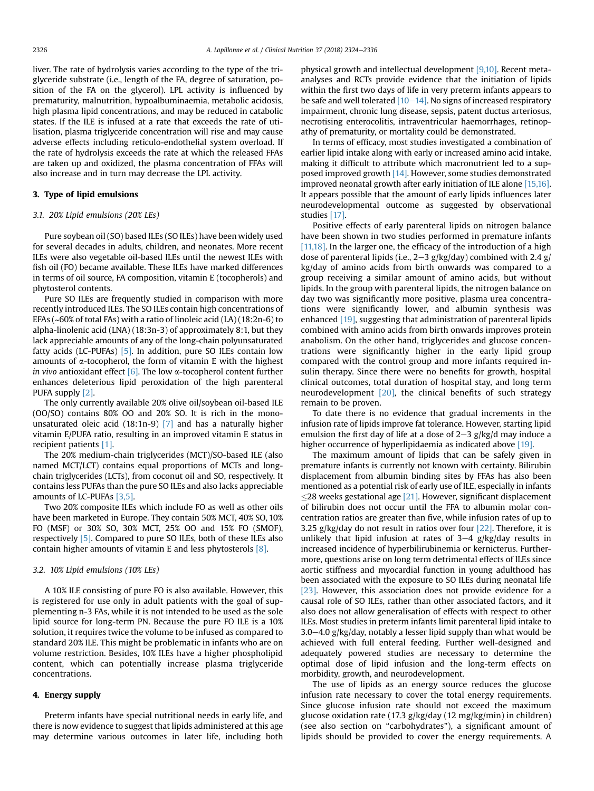liver. The rate of hydrolysis varies according to the type of the triglyceride substrate (i.e., length of the FA, degree of saturation, position of the FA on the glycerol). LPL activity is influenced by prematurity, malnutrition, hypoalbuminaemia, metabolic acidosis, high plasma lipid concentrations, and may be reduced in catabolic states. If the ILE is infused at a rate that exceeds the rate of utilisation, plasma triglyceride concentration will rise and may cause adverse effects including reticulo-endothelial system overload. If the rate of hydrolysis exceeds the rate at which the released FFAs are taken up and oxidized, the plasma concentration of FFAs will also increase and in turn may decrease the LPL activity.

## 3. Type of lipid emulsions

#### 3.1. 20% Lipid emulsions (20% LEs)

Pure soybean oil (SO) based ILEs (SO ILEs) have been widely used for several decades in adults, children, and neonates. More recent ILEs were also vegetable oil-based ILEs until the newest ILEs with fish oil (FO) became available. These ILEs have marked differences in terms of oil source, FA composition, vitamin E (tocopherols) and phytosterol contents.

Pure SO ILEs are frequently studied in comparison with more recently introduced ILEs. The SO ILEs contain high concentrations of EFAs (~60% of total FAs) with a ratio of linoleic acid (LA) (18:2n-6) to alpha-linolenic acid (LNA) (18:3n-3) of approximately 8:1, but they lack appreciable amounts of any of the long-chain polyunsaturated fatty acids (LC-PUFAs) [\[5\].](#page-9-0) In addition, pure SO ILEs contain low amounts of  $\alpha$ -tocopherol, the form of vitamin E with the highest in vivo antioxidant effect  $[6]$ . The low  $\alpha$ -tocopherol content further enhances deleterious lipid peroxidation of the high parenteral PUFA supply [\[2\]](#page-9-0).

The only currently available 20% olive oil/soybean oil-based ILE (OO/SO) contains 80% OO and 20% SO. It is rich in the monounsaturated oleic acid (18:1n-9) [\[7\]](#page-9-0) and has a naturally higher vitamin E/PUFA ratio, resulting in an improved vitamin E status in recipient patients [\[1\]](#page-9-0).

The 20% medium-chain triglycerides (MCT)/SO-based ILE (also named MCT/LCT) contains equal proportions of MCTs and longchain triglycerides (LCTs), from coconut oil and SO, respectively. It contains less PUFAs than the pure SO ILEs and also lacks appreciable amounts of LC-PUFAs [\[3,5\].](#page-9-0)

Two 20% composite ILEs which include FO as well as other oils have been marketed in Europe. They contain 50% MCT, 40% SO, 10% FO (MSF) or 30% SO, 30% MCT, 25% OO and 15% FO (SMOF), respectively [\[5\]](#page-9-0). Compared to pure SO ILEs, both of these ILEs also contain higher amounts of vitamin E and less phytosterols [\[8\]](#page-9-0).

## 3.2. 10% Lipid emulsions (10% LEs)

A 10% ILE consisting of pure FO is also available. However, this is registered for use only in adult patients with the goal of supplementing n-3 FAs, while it is not intended to be used as the sole lipid source for long-term PN. Because the pure FO ILE is a 10% solution, it requires twice the volume to be infused as compared to standard 20% ILE. This might be problematic in infants who are on volume restriction. Besides, 10% ILEs have a higher phospholipid content, which can potentially increase plasma triglyceride concentrations.

## 4. Energy supply

Preterm infants have special nutritional needs in early life, and there is now evidence to suggest that lipids administered at this age may determine various outcomes in later life, including both physical growth and intellectual development [\[9,10\]](#page-9-0). Recent metaanalyses and RCTs provide evidence that the initiation of lipids within the first two days of life in very preterm infants appears to be safe and well tolerated  $[10-14]$  $[10-14]$  $[10-14]$ . No signs of increased respiratory impairment, chronic lung disease, sepsis, patent ductus arteriosus, necrotising enterocolitis, intraventricular haemorrhages, retinopathy of prematurity, or mortality could be demonstrated.

In terms of efficacy, most studies investigated a combination of earlier lipid intake along with early or increased amino acid intake, making it difficult to attribute which macronutrient led to a supposed improved growth [\[14\]](#page-9-0). However, some studies demonstrated improved neonatal growth after early initiation of ILE alone [\[15,16\].](#page-9-0) It appears possible that the amount of early lipids influences later neurodevelopmental outcome as suggested by observational studies [\[17\].](#page-9-0)

Positive effects of early parenteral lipids on nitrogen balance have been shown in two studies performed in premature infants [\[11,18\]](#page-9-0). In the larger one, the efficacy of the introduction of a high dose of parenteral lipids (i.e.,  $2-3$  g/kg/day) combined with 2.4 g/ kg/day of amino acids from birth onwards was compared to a group receiving a similar amount of amino acids, but without lipids. In the group with parenteral lipids, the nitrogen balance on day two was significantly more positive, plasma urea concentrations were significantly lower, and albumin synthesis was enhanced [\[19\]](#page-9-0), suggesting that administration of parenteral lipids combined with amino acids from birth onwards improves protein anabolism. On the other hand, triglycerides and glucose concentrations were significantly higher in the early lipid group compared with the control group and more infants required insulin therapy. Since there were no benefits for growth, hospital clinical outcomes, total duration of hospital stay, and long term neurodevelopment [\[20\],](#page-9-0) the clinical benefits of such strategy remain to be proven.

To date there is no evidence that gradual increments in the infusion rate of lipids improve fat tolerance. However, starting lipid emulsion the first day of life at a dose of  $2-3$  g/kg/d may induce a higher occurrence of hyperlipidaemia as indicated above [\[19\].](#page-9-0)

The maximum amount of lipids that can be safely given in premature infants is currently not known with certainty. Bilirubin displacement from albumin binding sites by FFAs has also been mentioned as a potential risk of early use of ILE, especially in infants  $\leq$ 28 weeks gestational age [\[21\]](#page-9-0). However, significant displacement of bilirubin does not occur until the FFA to albumin molar concentration ratios are greater than five, while infusion rates of up to 3.25 g/kg/day do not result in ratios over four  $[22]$ . Therefore, it is unlikely that lipid infusion at rates of  $3-4$  g/kg/day results in increased incidence of hyperbilirubinemia or kernicterus. Furthermore, questions arise on long term detrimental effects of ILEs since aortic stiffness and myocardial function in young adulthood has been associated with the exposure to SO ILEs during neonatal life [\[23\]](#page-9-0). However, this association does not provide evidence for a causal role of SO ILEs, rather than other associated factors, and it also does not allow generalisation of effects with respect to other ILEs. Most studies in preterm infants limit parenteral lipid intake to  $3.0-4.0$  g/kg/day, notably a lesser lipid supply than what would be achieved with full enteral feeding. Further well-designed and adequately powered studies are necessary to determine the optimal dose of lipid infusion and the long-term effects on morbidity, growth, and neurodevelopment.

The use of lipids as an energy source reduces the glucose infusion rate necessary to cover the total energy requirements. Since glucose infusion rate should not exceed the maximum glucose oxidation rate (17.3 g/kg/day (12 mg/kg/min) in children) (see also section on "carbohydrates"), a significant amount of lipids should be provided to cover the energy requirements. A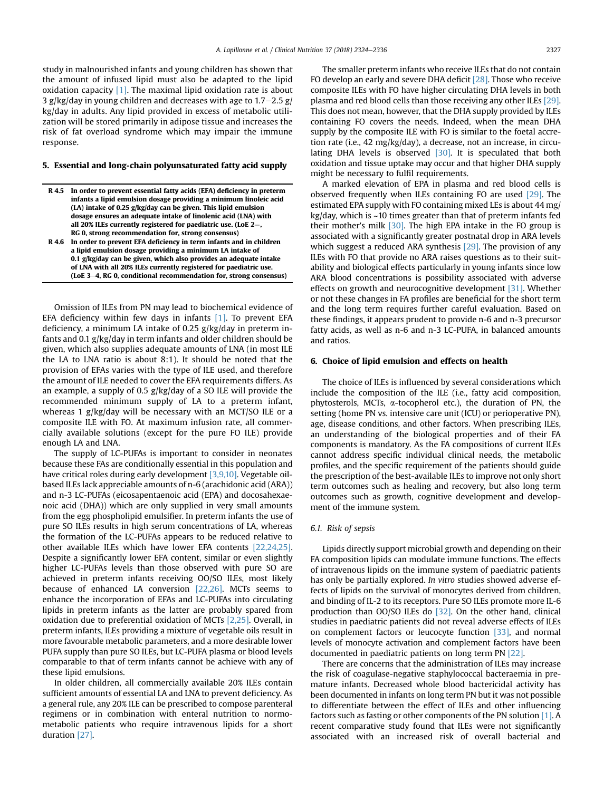study in malnourished infants and young children has shown that the amount of infused lipid must also be adapted to the lipid oxidation capacity  $[1]$ . The maximal lipid oxidation rate is about 3 g/kg/day in young children and decreases with age to  $1.7-2.5$  g/ kg/day in adults. Any lipid provided in excess of metabolic utilization will be stored primarily in adipose tissue and increases the risk of fat overload syndrome which may impair the immune response.

## 5. Essential and long-chain polyunsaturated fatty acid supply

| R 4.5 In order to prevent essential fatty acids (EFA) deficiency in preterm<br>infants a lipid emulsion dosage providing a minimum linoleic acid |
|--------------------------------------------------------------------------------------------------------------------------------------------------|
| $(LA)$ intake of 0.25 g/kg/day can be given. This lipid emulsion                                                                                 |
| dosage ensures an adequate intake of linolenic acid (LNA) with                                                                                   |
| all 20% ILEs currently registered for paediatric use. (LoE $2-$ ,                                                                                |
| RG 0, strong recommendation for, strong consensus)                                                                                               |
| R 4.6 In order to prevent EFA deficiency in term infants and in children                                                                         |
| a lipid emulsion dosage providing a minimum LA intake of                                                                                         |
| 0.1 glkgldav can be given which also provides an adequate intake                                                                                 |

0.1 g/kg/day can be given, which also provides an adequate intake of LNA with all 20% ILEs currently registered for paediatric use. (LoE 3-4, RG 0, conditional recommendation for, strong consensus)

Omission of ILEs from PN may lead to biochemical evidence of EFA deficiency within few days in infants [\[1\]](#page-9-0). To prevent EFA deficiency, a minimum LA intake of 0.25 g/kg/day in preterm infants and 0.1 g/kg/day in term infants and older children should be given, which also supplies adequate amounts of LNA (in most ILE the LA to LNA ratio is about 8:1). It should be noted that the provision of EFAs varies with the type of ILE used, and therefore the amount of ILE needed to cover the EFA requirements differs. As an example, a supply of 0.5 g/kg/day of a SO ILE will provide the recommended minimum supply of LA to a preterm infant, whereas 1 g/kg/day will be necessary with an MCT/SO ILE or a composite ILE with FO. At maximum infusion rate, all commercially available solutions (except for the pure FO ILE) provide enough LA and LNA.

The supply of LC-PUFAs is important to consider in neonates because these FAs are conditionally essential in this population and have critical roles during early development [\[3,9,10\].](#page-9-0) Vegetable oilbased ILEs lack appreciable amounts of n-6 (arachidonic acid (ARA)) and n-3 LC-PUFAs (eicosapentaenoic acid (EPA) and docosahexaenoic acid (DHA)) which are only supplied in very small amounts from the egg phospholipid emulsifier. In preterm infants the use of pure SO ILEs results in high serum concentrations of LA, whereas the formation of the LC-PUFAs appears to be reduced relative to other available ILEs which have lower EFA contents [\[22,24,25\].](#page-9-0) Despite a significantly lower EFA content, similar or even slightly higher LC-PUFAs levels than those observed with pure SO are achieved in preterm infants receiving OO/SO ILEs, most likely because of enhanced LA conversion [\[22,26\].](#page-9-0) MCTs seems to enhance the incorporation of EFAs and LC-PUFAs into circulating lipids in preterm infants as the latter are probably spared from oxidation due to preferential oxidation of MCTs [\[2,25\].](#page-9-0) Overall, in preterm infants, ILEs providing a mixture of vegetable oils result in more favourable metabolic parameters, and a more desirable lower PUFA supply than pure SO ILEs, but LC-PUFA plasma or blood levels comparable to that of term infants cannot be achieve with any of these lipid emulsions.

In older children, all commercially available 20% ILEs contain sufficient amounts of essential LA and LNA to prevent deficiency. As a general rule, any 20% ILE can be prescribed to compose parenteral regimens or in combination with enteral nutrition to normometabolic patients who require intravenous lipids for a short duration [\[27\].](#page-9-0)

The smaller preterm infants who receive ILEs that do not contain FO develop an early and severe DHA deficit [\[28\]](#page-9-0). Those who receive composite ILEs with FO have higher circulating DHA levels in both plasma and red blood cells than those receiving any other ILEs [\[29\].](#page-9-0) This does not mean, however, that the DHA supply provided by ILEs containing FO covers the needs. Indeed, when the mean DHA supply by the composite ILE with FO is similar to the foetal accretion rate (i.e., 42 mg/kg/day), a decrease, not an increase, in circu-lating DHA levels is observed [\[30\].](#page-9-0) It is speculated that both oxidation and tissue uptake may occur and that higher DHA supply might be necessary to fulfil requirements.

A marked elevation of EPA in plasma and red blood cells is observed frequently when ILEs containing FO are used [\[29\]](#page-9-0). The estimated EPA supply with FO containing mixed LEs is about 44 mg/ kg/day, which is ~10 times greater than that of preterm infants fed their mother's milk  $[30]$ . The high EPA intake in the FO group is associated with a significantly greater postnatal drop in ARA levels which suggest a reduced ARA synthesis [\[29\]](#page-9-0). The provision of any ILEs with FO that provide no ARA raises questions as to their suitability and biological effects particularly in young infants since low ARA blood concentrations is possibility associated with adverse effects on growth and neurocognitive development [\[31\]](#page-10-0). Whether or not these changes in FA profiles are beneficial for the short term and the long term requires further careful evaluation. Based on these findings, it appears prudent to provide n-6 and n-3 precursor fatty acids, as well as n-6 and n-3 LC-PUFA, in balanced amounts and ratios.

### 6. Choice of lipid emulsion and effects on health

The choice of ILEs is influenced by several considerations which include the composition of the ILE (i.e., fatty acid composition, phytosterols, MCTs, a-tocopherol etc.), the duration of PN, the setting (home PN vs. intensive care unit (ICU) or perioperative PN), age, disease conditions, and other factors. When prescribing ILEs, an understanding of the biological properties and of their FA components is mandatory. As the FA compositions of current ILEs cannot address specific individual clinical needs, the metabolic profiles, and the specific requirement of the patients should guide the prescription of the best-available ILEs to improve not only short term outcomes such as healing and recovery, but also long term outcomes such as growth, cognitive development and development of the immune system.

## 6.1. Risk of sepsis

Lipids directly support microbial growth and depending on their FA composition lipids can modulate immune functions. The effects of intravenous lipids on the immune system of paediatric patients has only be partially explored. In vitro studies showed adverse effects of lipids on the survival of monocytes derived from children, and binding of IL-2 to its receptors. Pure SO ILEs promote more IL-6 production than OO/SO ILEs do [\[32\]](#page-10-0). On the other hand, clinical studies in paediatric patients did not reveal adverse effects of ILEs on complement factors or leucocyte function [\[33\],](#page-10-0) and normal levels of monocyte activation and complement factors have been documented in paediatric patients on long term PN [\[22\].](#page-9-0)

There are concerns that the administration of ILEs may increase the risk of coagulase-negative staphylococcal bacteraemia in premature infants. Decreased whole blood bactericidal activity has been documented in infants on long term PN but it was not possible to differentiate between the effect of ILEs and other influencing factors such as fasting or other components of the PN solution [\[1\]](#page-9-0). A recent comparative study found that ILEs were not significantly associated with an increased risk of overall bacterial and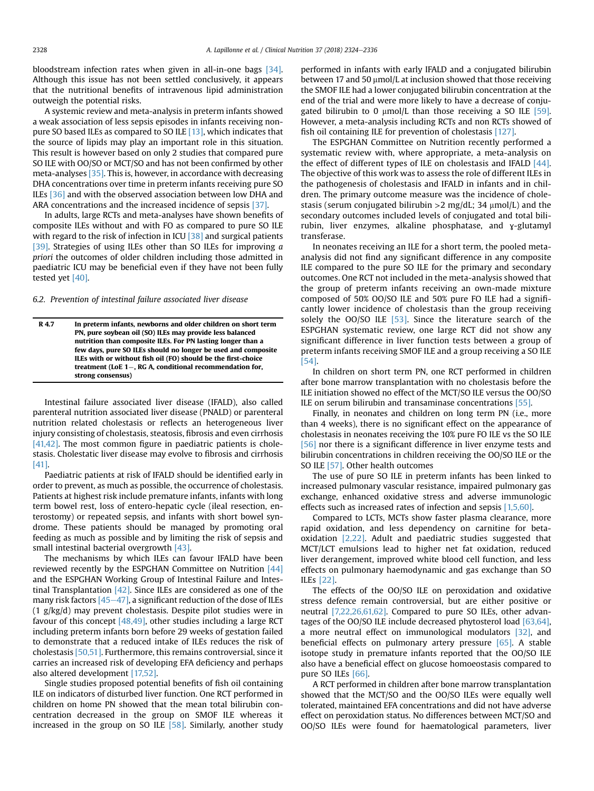bloodstream infection rates when given in all-in-one bags [\[34\].](#page-10-0) Although this issue has not been settled conclusively, it appears that the nutritional benefits of intravenous lipid administration outweigh the potential risks.

A systemic review and meta-analysis in preterm infants showed a weak association of less sepsis episodes in infants receiving nonpure SO based ILEs as compared to SO ILE [\[13\],](#page-9-0) which indicates that the source of lipids may play an important role in this situation. This result is however based on only 2 studies that compared pure SO ILE with OO/SO or MCT/SO and has not been confirmed by other meta-analyses [\[35\]](#page-10-0). This is, however, in accordance with decreasing DHA concentrations over time in preterm infants receiving pure SO ILEs [\[36\]](#page-10-0) and with the observed association between low DHA and ARA concentrations and the increased incidence of sepsis [\[37\].](#page-10-0)

In adults, large RCTs and meta-analyses have shown benefits of composite ILEs without and with FO as compared to pure SO ILE with regard to the risk of infection in ICU  $[38]$  and surgical patients [\[39\]](#page-10-0). Strategies of using ILEs other than SO ILEs for improving a priori the outcomes of older children including those admitted in paediatric ICU may be beneficial even if they have not been fully tested yet [\[40\].](#page-10-0)

6.2. Prevention of intestinal failure associated liver disease

R 4.7 In preterm infants, newborns and older children on short term PN, pure soybean oil (SO) ILEs may provide less balanced nutrition than composite ILEs. For PN lasting longer than a few days, pure SO ILEs should no longer be used and composite ILEs with or without fish oil (FO) should be the first-choice treatment (LoE  $1-$ , RG A, conditional recommendation for, strong consensus)

Intestinal failure associated liver disease (IFALD), also called parenteral nutrition associated liver disease (PNALD) or parenteral nutrition related cholestasis or reflects an heterogeneous liver injury consisting of cholestasis, steatosis, fibrosis and even cirrhosis [\[41,42\]](#page-10-0). The most common figure in paediatric patients is cholestasis. Cholestatic liver disease may evolve to fibrosis and cirrhosis [\[41\].](#page-10-0)

Paediatric patients at risk of IFALD should be identified early in order to prevent, as much as possible, the occurrence of cholestasis. Patients at highest risk include premature infants, infants with long term bowel rest, loss of entero-hepatic cycle (ileal resection, enterostomy) or repeated sepsis, and infants with short bowel syndrome. These patients should be managed by promoting oral feeding as much as possible and by limiting the risk of sepsis and small intestinal bacterial overgrowth [\[43\]](#page-10-0).

The mechanisms by which ILEs can favour IFALD have been reviewed recently by the ESPGHAN Committee on Nutrition [\[44\]](#page-10-0) and the ESPGHAN Working Group of Intestinal Failure and Intestinal Transplantation  $[42]$ . Since ILEs are considered as one of the many risk factors  $[45-47]$  $[45-47]$  $[45-47]$ , a significant reduction of the dose of ILEs (1 g/kg/d) may prevent cholestasis. Despite pilot studies were in favour of this concept [\[48,49\],](#page-10-0) other studies including a large RCT including preterm infants born before 29 weeks of gestation failed to demonstrate that a reduced intake of ILEs reduces the risk of cholestasis [\[50,51\].](#page-10-0) Furthermore, this remains controversial, since it carries an increased risk of developing EFA deficiency and perhaps also altered development [\[17,52\].](#page-9-0)

Single studies proposed potential benefits of fish oil containing ILE on indicators of disturbed liver function. One RCT performed in children on home PN showed that the mean total bilirubin concentration decreased in the group on SMOF ILE whereas it increased in the group on SO ILE [\[58\].](#page-10-0) Similarly, another study performed in infants with early IFALD and a conjugated bilirubin between 17 and 50  $\mu$ mol/L at inclusion showed that those receiving the SMOF ILE had a lower conjugated bilirubin concentration at the end of the trial and were more likely to have a decrease of conjugated bilirubin to 0  $\mu$ mol/L than those receiving a SO ILE [\[59\].](#page-10-0) However, a meta-analysis including RCTs and non RCTs showed of fish oil containing ILE for prevention of cholestasis [\[127\].](#page-11-0)

The ESPGHAN Committee on Nutrition recently performed a systematic review with, where appropriate, a meta-analysis on the effect of different types of ILE on cholestasis and IFALD [\[44\].](#page-10-0) The objective of this work was to assess the role of different ILEs in the pathogenesis of cholestasis and IFALD in infants and in children. The primary outcome measure was the incidence of cholestasis (serum conjugated bilirubin  $>2$  mg/dL; 34  $\mu$ mol/L) and the secondary outcomes included levels of conjugated and total bilirubin, liver enzymes, alkaline phosphatase, and ɣ-glutamyl transferase.

In neonates receiving an ILE for a short term, the pooled metaanalysis did not find any significant difference in any composite ILE compared to the pure SO ILE for the primary and secondary outcomes. One RCT not included in the meta-analysis showed that the group of preterm infants receiving an own-made mixture composed of 50% OO/SO ILE and 50% pure FO ILE had a significantly lower incidence of cholestasis than the group receiving solely the  $OO/SO$  ILE  $[53]$ . Since the literature search of the ESPGHAN systematic review, one large RCT did not show any significant difference in liver function tests between a group of preterm infants receiving SMOF ILE and a group receiving a SO ILE [\[54\].](#page-10-0)

In children on short term PN, one RCT performed in children after bone marrow transplantation with no cholestasis before the ILE initiation showed no effect of the MCT/SO ILE versus the OO/SO ILE on serum bilirubin and transaminase concentrations [\[55\]](#page-10-0).

Finally, in neonates and children on long term PN (i.e., more than 4 weeks), there is no significant effect on the appearance of cholestasis in neonates receiving the 10% pure FO ILE vs the SO ILE [\[56\]](#page-10-0) nor there is a significant difference in liver enzyme tests and bilirubin concentrations in children receiving the OO/SO ILE or the SO ILE [\[57\]](#page-10-0). Other health outcomes

The use of pure SO ILE in preterm infants has been linked to increased pulmonary vascular resistance, impaired pulmonary gas exchange, enhanced oxidative stress and adverse immunologic effects such as increased rates of infection and sepsis [\[1,5,60\].](#page-9-0)

Compared to LCTs, MCTs show faster plasma clearance, more rapid oxidation, and less dependency on carnitine for betaoxidation [\[2,22\].](#page-9-0) Adult and paediatric studies suggested that MCT/LCT emulsions lead to higher net fat oxidation, reduced liver derangement, improved white blood cell function, and less effects on pulmonary haemodynamic and gas exchange than SO ILEs [\[22\].](#page-9-0)

The effects of the OO/SO ILE on peroxidation and oxidative stress defence remain controversial, but are either positive or neutral [\[7,22,26,61,62\]](#page-9-0). Compared to pure SO ILEs, other advantages of the OO/SO ILE include decreased phytosterol load [\[63,64\],](#page-10-0) a more neutral effect on immunological modulators [\[32\]](#page-10-0), and beneficial effects on pulmonary artery pressure [\[65\]](#page-10-0). A stable isotope study in premature infants reported that the OO/SO ILE also have a beneficial effect on glucose homoeostasis compared to pure SO ILEs [\[66\].](#page-10-0)

A RCT performed in children after bone marrow transplantation showed that the MCT/SO and the OO/SO ILEs were equally well tolerated, maintained EFA concentrations and did not have adverse effect on peroxidation status. No differences between MCT/SO and OO/SO ILEs were found for haematological parameters, liver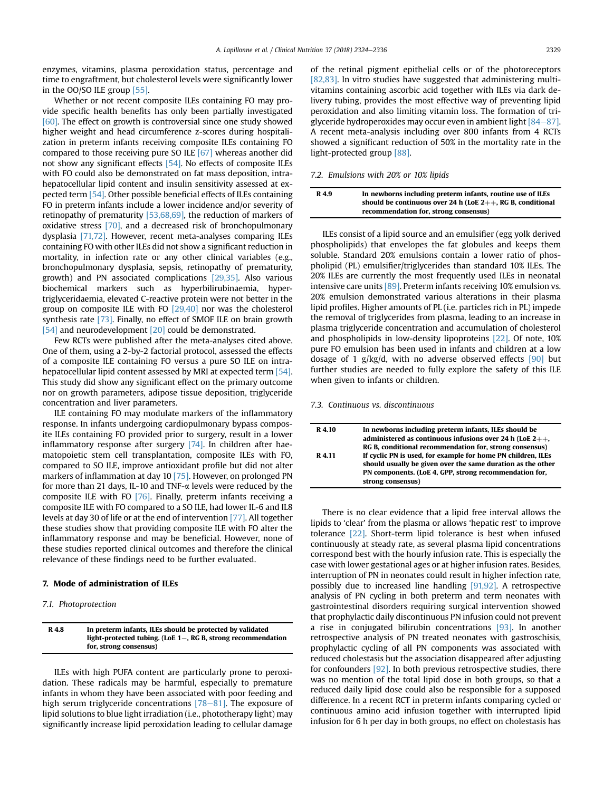enzymes, vitamins, plasma peroxidation status, percentage and time to engraftment, but cholesterol levels were significantly lower in the OO/SO ILE group [\[55\]](#page-10-0).

Whether or not recent composite ILEs containing FO may provide specific health benefits has only been partially investigated [\[60\].](#page-10-0) The effect on growth is controversial since one study showed higher weight and head circumference z-scores during hospitalization in preterm infants receiving composite ILEs containing FO compared to those receiving pure SO ILE [\[67\]](#page-10-0) whereas another did not show any significant effects [\[54\]](#page-10-0). No effects of composite ILEs with FO could also be demonstrated on fat mass deposition, intrahepatocellular lipid content and insulin sensitivity assessed at expected term [\[54\].](#page-10-0) Other possible beneficial effects of ILEs containing FO in preterm infants include a lower incidence and/or severity of retinopathy of prematurity [\[53,68,69\]](#page-10-0), the reduction of markers of oxidative stress [\[70\],](#page-10-0) and a decreased risk of bronchopulmonary dysplasia [\[71,72\].](#page-10-0) However, recent meta-analyses comparing ILEs containing FO with other ILEs did not show a significant reduction in mortality, in infection rate or any other clinical variables (e.g., bronchopulmonary dysplasia, sepsis, retinopathy of prematurity, growth) and PN associated complications [\[29,35\].](#page-9-0) Also various biochemical markers such as hyperbilirubinaemia, hypertriglyceridaemia, elevated C-reactive protein were not better in the group on composite ILE with FO [\[29,40\]](#page-9-0) nor was the cholesterol synthesis rate [\[73\].](#page-10-0) Finally, no effect of SMOF ILE on brain growth [\[54\]](#page-10-0) and neurodevelopment [\[20\]](#page-9-0) could be demonstrated.

Few RCTs were published after the meta-analyses cited above. One of them, using a 2-by-2 factorial protocol, assessed the effects of a composite ILE containing FO versus a pure SO ILE on intrahepatocellular lipid content assessed by MRI at expected term [\[54\].](#page-10-0) This study did show any significant effect on the primary outcome nor on growth parameters, adipose tissue deposition, triglyceride concentration and liver parameters.

ILE containing FO may modulate markers of the inflammatory response. In infants undergoing cardiopulmonary bypass composite ILEs containing FO provided prior to surgery, result in a lower inflammatory response after surgery [\[74\].](#page-10-0) In children after haematopoietic stem cell transplantation, composite ILEs with FO, compared to SO ILE, improve antioxidant profile but did not alter markers of inflammation at day 10 [\[75\]](#page-10-0). However, on prolonged PN for more than 21 days, IL-10 and TNF- $\alpha$  levels were reduced by the composite ILE with FO [\[76\].](#page-10-0) Finally, preterm infants receiving a composite ILE with FO compared to a SO ILE, had lower IL-6 and IL8 levels at day 30 of life or at the end of intervention [\[77\].](#page-10-0) All together these studies show that providing composite ILE with FO alter the inflammatory response and may be beneficial. However, none of these studies reported clinical outcomes and therefore the clinical relevance of these findings need to be further evaluated.

## 7. Mode of administration of ILEs

## 7.1. Photoprotection

R 4.8 In preterm infants, ILEs should be protected by validated light-protected tubing. (LoE  $1-$ , RG B, strong recommendation for, strong consensus)

ILEs with high PUFA content are particularly prone to peroxidation. These radicals may be harmful, especially to premature infants in whom they have been associated with poor feeding and high serum triglyceride concentrations  $[78-81]$  $[78-81]$  $[78-81]$ . The exposure of lipid solutions to blue light irradiation (i.e., phototherapy light) may significantly increase lipid peroxidation leading to cellular damage

of the retinal pigment epithelial cells or of the photoreceptors [\[82,83\]](#page-11-0). In vitro studies have suggested that administering multivitamins containing ascorbic acid together with ILEs via dark delivery tubing, provides the most effective way of preventing lipid peroxidation and also limiting vitamin loss. The formation of triglyceride hydroperoxides may occur even in ambient light  $[84-87]$  $[84-87]$ . A recent meta-analysis including over 800 infants from 4 RCTs showed a significant reduction of 50% in the mortality rate in the light-protected group [\[88\].](#page-11-0)

#### 7.2. Emulsions with 20% or 10% lipids

| R 4.9 | In newborns including preterm infants, routine use of ILEs    |
|-------|---------------------------------------------------------------|
|       | should be continuous over 24 h (LoE $2++$ , RG B, conditional |
|       | recommendation for, strong consensus)                         |

ILEs consist of a lipid source and an emulsifier (egg yolk derived phospholipids) that envelopes the fat globules and keeps them soluble. Standard 20% emulsions contain a lower ratio of phospholipid (PL) emulsifier/triglycerides than standard 10% ILEs. The 20% ILEs are currently the most frequently used ILEs in neonatal intensive care units [\[89\].](#page-11-0) Preterm infants receiving 10% emulsion vs. 20% emulsion demonstrated various alterations in their plasma lipid profiles. Higher amounts of PL (i.e. particles rich in PL) impede the removal of triglycerides from plasma, leading to an increase in plasma triglyceride concentration and accumulation of cholesterol and phospholipids in low-density lipoproteins [\[22\].](#page-9-0) Of note, 10% pure FO emulsion has been used in infants and children at a low dosage of 1 g/kg/d, with no adverse observed effects  $[90]$  but further studies are needed to fully explore the safety of this ILE when given to infants or children.

#### 7.3. Continuous vs. discontinuous

| R 4.10 | In newborns including preterm infants, ILEs should be<br>administered as continuous infusions over 24 h (LoE $2++$ ,<br>RG B, conditional recommendation for, strong consensus)                            |
|--------|------------------------------------------------------------------------------------------------------------------------------------------------------------------------------------------------------------|
| R 4.11 | If cyclic PN is used, for example for home PN children, ILEs<br>should usually be given over the same duration as the other<br>PN components. (LoE 4, GPP, strong recommendation for,<br>strong consensus) |

There is no clear evidence that a lipid free interval allows the lipids to 'clear' from the plasma or allows 'hepatic rest' to improve tolerance [\[22\]](#page-9-0). Short-term lipid tolerance is best when infused continuously at steady rate, as several plasma lipid concentrations correspond best with the hourly infusion rate. This is especially the case with lower gestational ages or at higher infusion rates. Besides, interruption of PN in neonates could result in higher infection rate, possibly due to increased line handling [\[91,92\].](#page-11-0) A retrospective analysis of PN cycling in both preterm and term neonates with gastrointestinal disorders requiring surgical intervention showed that prophylactic daily discontinuous PN infusion could not prevent a rise in conjugated bilirubin concentrations [\[93\]](#page-11-0). In another retrospective analysis of PN treated neonates with gastroschisis, prophylactic cycling of all PN components was associated with reduced cholestasis but the association disappeared after adjusting for confounders [\[92\].](#page-11-0) In both previous retrospective studies, there was no mention of the total lipid dose in both groups, so that a reduced daily lipid dose could also be responsible for a supposed difference. In a recent RCT in preterm infants comparing cycled or continuous amino acid infusion together with interrupted lipid infusion for 6 h per day in both groups, no effect on cholestasis has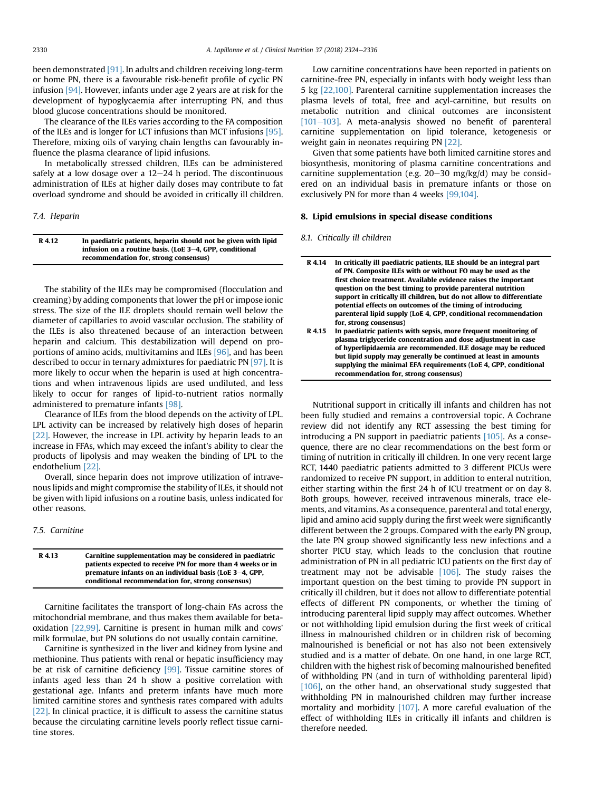been demonstrated [\[91\].](#page-11-0) In adults and children receiving long-term or home PN, there is a favourable risk-benefit profile of cyclic PN infusion [\[94\]](#page-11-0). However, infants under age 2 years are at risk for the development of hypoglycaemia after interrupting PN, and thus blood glucose concentrations should be monitored.

The clearance of the ILEs varies according to the FA composition of the ILEs and is longer for LCT infusions than MCT infusions [\[95\].](#page-11-0) Therefore, mixing oils of varying chain lengths can favourably influence the plasma clearance of lipid infusions.

In metabolically stressed children, ILEs can be administered safely at a low dosage over a  $12-24$  h period. The discontinuous administration of ILEs at higher daily doses may contribute to fat overload syndrome and should be avoided in critically ill children.

## 7.4. Heparin

R 4.12 In paediatric patients, heparin should not be given with lipid infusion on a routine basis. (LoE  $3-4$ , GPP, conditional

The stability of the ILEs may be compromised (flocculation and creaming) by adding components that lower the pH or impose ionic stress. The size of the ILE droplets should remain well below the diameter of capillaries to avoid vascular occlusion. The stability of the ILEs is also threatened because of an interaction between heparin and calcium. This destabilization will depend on proportions of amino acids, multivitamins and ILEs [\[96\],](#page-11-0) and has been described to occur in ternary admixtures for paediatric PN [\[97\].](#page-11-0) It is more likely to occur when the heparin is used at high concentrations and when intravenous lipids are used undiluted, and less likely to occur for ranges of lipid-to-nutrient ratios normally administered to premature infants [\[98\]](#page-11-0).

Clearance of ILEs from the blood depends on the activity of LPL. LPL activity can be increased by relatively high doses of heparin [\[22\]](#page-9-0). However, the increase in LPL activity by heparin leads to an increase in FFAs, which may exceed the infant's ability to clear the products of lipolysis and may weaken the binding of LPL to the endothelium [\[22\]](#page-9-0).

Overall, since heparin does not improve utilization of intravenous lipids and might compromise the stability of ILEs, it should not be given with lipid infusions on a routine basis, unless indicated for other reasons.

7.5. Carnitine

## R 4.13 Carnitine supplementation may be considered in paediatric patients expected to receive PN for more than 4 weeks or in premature infants on an individual basis (LoE 3-4, GPP, conditional recommendation for, strong consensus)

Carnitine facilitates the transport of long-chain FAs across the mitochondrial membrane, and thus makes them available for betaoxidation [\[22,99\].](#page-9-0) Carnitine is present in human milk and cows' milk formulae, but PN solutions do not usually contain carnitine.

Carnitine is synthesized in the liver and kidney from lysine and methionine. Thus patients with renal or hepatic insufficiency may be at risk of carnitine deficiency [\[99\]](#page-11-0). Tissue carnitine stores of infants aged less than 24 h show a positive correlation with gestational age. Infants and preterm infants have much more limited carnitine stores and synthesis rates compared with adults [\[22\]](#page-9-0). In clinical practice, it is difficult to assess the carnitine status because the circulating carnitine levels poorly reflect tissue carnitine stores.

Low carnitine concentrations have been reported in patients on carnitine-free PN, especially in infants with body weight less than 5 kg [\[22,100\]](#page-9-0). Parenteral carnitine supplementation increases the plasma levels of total, free and acyl-carnitine, but results on metabolic nutrition and clinical outcomes are inconsistent  $[101-103]$  $[101-103]$  $[101-103]$ . A meta-analysis showed no benefit of parenteral carnitine supplementation on lipid tolerance, ketogenesis or weight gain in neonates requiring PN [\[22\]](#page-9-0).

Given that some patients have both limited carnitine stores and biosynthesis, monitoring of plasma carnitine concentrations and carnitine supplementation (e.g.  $20-30$  mg/kg/d) may be considered on an individual basis in premature infants or those on exclusively PN for more than 4 weeks [\[99,104\].](#page-11-0)

### 8. Lipid emulsions in special disease conditions

8.1. Critically ill children

Nutritional support in critically ill infants and children has not been fully studied and remains a controversial topic. A Cochrane review did not identify any RCT assessing the best timing for introducing a PN support in paediatric patients [\[105\].](#page-11-0) As a consequence, there are no clear recommendations on the best form or timing of nutrition in critically ill children. In one very recent large RCT, 1440 paediatric patients admitted to 3 different PICUs were randomized to receive PN support, in addition to enteral nutrition, either starting within the first 24 h of ICU treatment or on day 8. Both groups, however, received intravenous minerals, trace elements, and vitamins. As a consequence, parenteral and total energy, lipid and amino acid supply during the first week were significantly different between the 2 groups. Compared with the early PN group, the late PN group showed significantly less new infections and a shorter PICU stay, which leads to the conclusion that routine administration of PN in all pediatric ICU patients on the first day of treatment may not be advisable  $[106]$ . The study raises the important question on the best timing to provide PN support in critically ill children, but it does not allow to differentiate potential effects of different PN components, or whether the timing of introducing parenteral lipid supply may affect outcomes. Whether or not withholding lipid emulsion during the first week of critical illness in malnourished children or in children risk of becoming malnourished is beneficial or not has also not been extensively studied and is a matter of debate. On one hand, in one large RCT, children with the highest risk of becoming malnourished benefited of withholding PN (and in turn of withholding parenteral lipid) [\[106\]](#page-11-0), on the other hand, an observational study suggested that withholding PN in malnourished children may further increase mortality and morbidity [\[107\].](#page-11-0) A more careful evaluation of the effect of withholding ILEs in critically ill infants and children is therefore needed.

recommendation for, strong consensus) **R** 4.14 In critically ill paediatric patients, ILE should be an integral part of PN. Composite ILEs with or without FO may be used as the first choice treatment. Available evidence raises the important question on the best timing to provide parenteral nutrition support in critically ill children, but do not allow to differentiate potential effects on outcomes of the timing of introducing parenteral lipid supply (LoE 4, GPP, conditional recommendation for, strong consensus)

R 4.15 In paediatric patients with sepsis, more frequent monitoring of plasma triglyceride concentration and dose adjustment in case of hyperlipidaemia are recommended. ILE dosage may be reduced but lipid supply may generally be continued at least in amounts supplying the minimal EFA requirements (LoE 4, GPP, conditional recommendation for, strong consensus)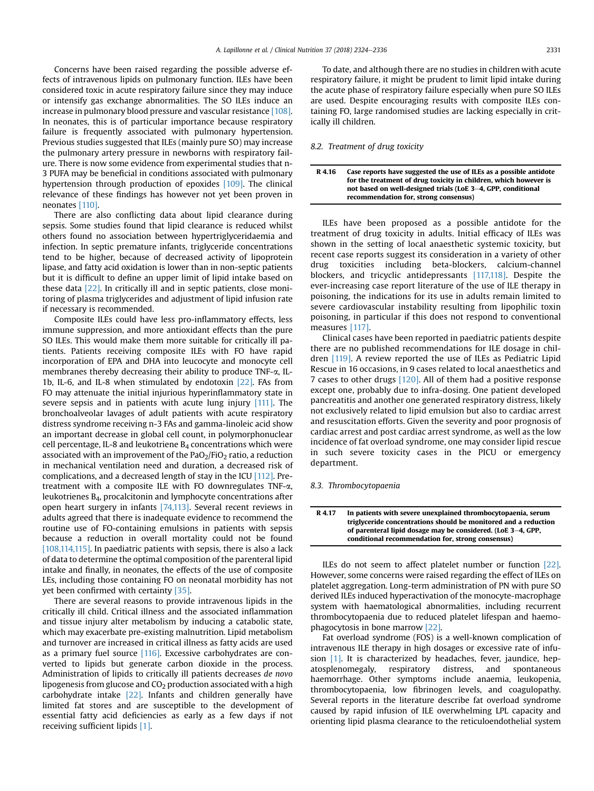Concerns have been raised regarding the possible adverse effects of intravenous lipids on pulmonary function. ILEs have been considered toxic in acute respiratory failure since they may induce or intensify gas exchange abnormalities. The SO ILEs induce an increase in pulmonary blood pressure and vascular resistance [\[108\].](#page-11-0) In neonates, this is of particular importance because respiratory failure is frequently associated with pulmonary hypertension. Previous studies suggested that ILEs (mainly pure SO) may increase the pulmonary artery pressure in newborns with respiratory failure. There is now some evidence from experimental studies that n-3 PUFA may be beneficial in conditions associated with pulmonary hypertension through production of epoxides [\[109\].](#page-11-0) The clinical relevance of these findings has however not yet been proven in neonates [\[110\].](#page-11-0)

There are also conflicting data about lipid clearance during sepsis. Some studies found that lipid clearance is reduced whilst others found no association between hypertriglyceridaemia and infection. In septic premature infants, triglyceride concentrations tend to be higher, because of decreased activity of lipoprotein lipase, and fatty acid oxidation is lower than in non-septic patients but it is difficult to define an upper limit of lipid intake based on these data [\[22\]](#page-9-0). In critically ill and in septic patients, close monitoring of plasma triglycerides and adjustment of lipid infusion rate if necessary is recommended.

Composite ILEs could have less pro-inflammatory effects, less immune suppression, and more antioxidant effects than the pure SO ILEs. This would make them more suitable for critically ill patients. Patients receiving composite ILEs with FO have rapid incorporation of EPA and DHA into leucocyte and monocyte cell membranes thereby decreasing their ability to produce TNF-a, IL-1b, IL-6, and IL-8 when stimulated by endotoxin [\[22\]](#page-9-0). FAs from FO may attenuate the initial injurious hyperinflammatory state in severe sepsis and in patients with acute lung injury [\[111\].](#page-11-0) The bronchoalveolar lavages of adult patients with acute respiratory distress syndrome receiving n-3 FAs and gamma-linoleic acid show an important decrease in global cell count, in polymorphonuclear cell percentage, IL-8 and leukotriene  $B_4$  concentrations which were associated with an improvement of the  $PaO<sub>2</sub>/FiO<sub>2</sub>$  ratio, a reduction in mechanical ventilation need and duration, a decreased risk of complications, and a decreased length of stay in the ICU [\[112\].](#page-11-0) Pretreatment with a composite ILE with FO downregulates TNF-a, leukotrienes B4, procalcitonin and lymphocyte concentrations after open heart surgery in infants [\[74,113\].](#page-10-0) Several recent reviews in adults agreed that there is inadequate evidence to recommend the routine use of FO-containing emulsions in patients with sepsis because a reduction in overall mortality could not be found [\[108,114,115\]](#page-11-0). In paediatric patients with sepsis, there is also a lack of data to determine the optimal composition of the parenteral lipid intake and finally, in neonates, the effects of the use of composite LEs, including those containing FO on neonatal morbidity has not yet been confirmed with certainty [\[35\]](#page-10-0).

There are several reasons to provide intravenous lipids in the critically ill child. Critical illness and the associated inflammation and tissue injury alter metabolism by inducing a catabolic state, which may exacerbate pre-existing malnutrition. Lipid metabolism and turnover are increased in critical illness as fatty acids are used as a primary fuel source [\[116\]](#page-11-0). Excessive carbohydrates are converted to lipids but generate carbon dioxide in the process. Administration of lipids to critically ill patients decreases de novo lipogenesis from glucose and  $CO<sub>2</sub>$  production associated with a high carbohydrate intake [\[22\].](#page-9-0) Infants and children generally have limited fat stores and are susceptible to the development of essential fatty acid deficiencies as early as a few days if not receiving sufficient lipids [\[1\].](#page-9-0)

To date, and although there are no studies in children with acute respiratory failure, it might be prudent to limit lipid intake during the acute phase of respiratory failure especially when pure SO ILEs are used. Despite encouraging results with composite ILEs containing FO, large randomised studies are lacking especially in critically ill children.

### 8.2. Treatment of drug toxicity

#### R 4.16 Case reports have suggested the use of ILEs as a possible antidote for the treatment of drug toxicity in children, which however is not based on well-designed trials (LoE 3-4, GPP, conditional recommendation for, strong consensus)

ILEs have been proposed as a possible antidote for the treatment of drug toxicity in adults. Initial efficacy of ILEs was shown in the setting of local anaesthetic systemic toxicity, but recent case reports suggest its consideration in a variety of other drug toxicities including beta-blockers, calcium-channel blockers, and tricyclic antidepressants [\[117,118\]](#page-11-0). Despite the ever-increasing case report literature of the use of ILE therapy in poisoning, the indications for its use in adults remain limited to severe cardiovascular instability resulting from lipophilic toxin poisoning, in particular if this does not respond to conventional measures [\[117\]](#page-11-0).

Clinical cases have been reported in paediatric patients despite there are no published recommendations for ILE dosage in children [\[119\].](#page-11-0) A review reported the use of ILEs as Pediatric Lipid Rescue in 16 occasions, in 9 cases related to local anaesthetics and 7 cases to other drugs [\[120\]](#page-11-0). All of them had a positive response except one, probably due to infra-dosing. One patient developed pancreatitis and another one generated respiratory distress, likely not exclusively related to lipid emulsion but also to cardiac arrest and resuscitation efforts. Given the severity and poor prognosis of cardiac arrest and post cardiac arrest syndrome, as well as the low incidence of fat overload syndrome, one may consider lipid rescue in such severe toxicity cases in the PICU or emergency department.

### 8.3. Thrombocytopaenia

#### R 4.17 In patients with severe unexplained thrombocytopaenia, serum triglyceride concentrations should be monitored and a reduction of parenteral lipid dosage may be considered. (LoE  $3-4$ , GPP, conditional recommendation for, strong consensus)

ILEs do not seem to affect platelet number or function [\[22\].](#page-9-0) However, some concerns were raised regarding the effect of ILEs on platelet aggregation. Long-term administration of PN with pure SO derived ILEs induced hyperactivation of the monocyte-macrophage system with haematological abnormalities, including recurrent thrombocytopaenia due to reduced platelet lifespan and haemophagocytosis in bone marrow [\[22\].](#page-9-0)

Fat overload syndrome (FOS) is a well-known complication of intravenous ILE therapy in high dosages or excessive rate of infusion [\[1\]](#page-9-0). It is characterized by headaches, fever, jaundice, hepatosplenomegaly, respiratory distress, and spontaneous haemorrhage. Other symptoms include anaemia, leukopenia, thrombocytopaenia, low fibrinogen levels, and coagulopathy. Several reports in the literature describe fat overload syndrome caused by rapid infusion of ILE overwhelming LPL capacity and orienting lipid plasma clearance to the reticuloendothelial system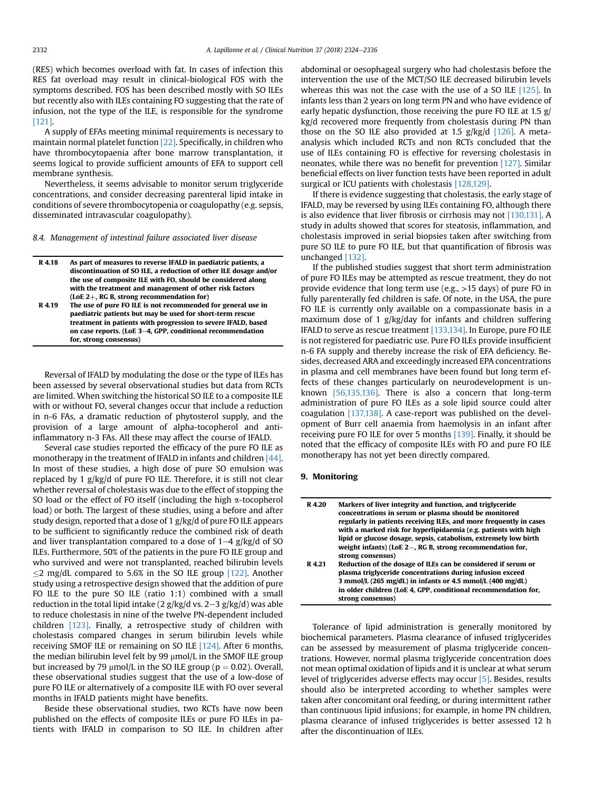(RES) which becomes overload with fat. In cases of infection this RES fat overload may result in clinical-biological FOS with the symptoms described. FOS has been described mostly with SO ILEs but recently also with ILEs containing FO suggesting that the rate of infusion, not the type of the ILE, is responsible for the syndrome [\[121\]](#page-11-0).

A supply of EFAs meeting minimal requirements is necessary to maintain normal platelet function [\[22\]](#page-9-0). Specifically, in children who have thrombocytopaenia after bone marrow transplantation, it seems logical to provide sufficient amounts of EFA to support cell membrane synthesis.

Nevertheless, it seems advisable to monitor serum triglyceride concentrations, and consider decreasing parenteral lipid intake in conditions of severe thrombocytopenia or coagulopathy (e.g. sepsis, disseminated intravascular coagulopathy).

8.4. Management of intestinal failure associated liver disease

| R 4.18 | As part of measures to reverse IFALD in paediatric patients, a    |
|--------|-------------------------------------------------------------------|
|        | discontinuation of SO ILE, a reduction of other ILE dosage and/or |
|        | the use of composite ILE with FO, should be considered along      |
|        | with the treatment and management of other risk factors           |
|        | (LoE 2+, RG B, strong recommendation for)                         |
| R 4.19 | The use of pure FO ILE is not recommended for general use in      |

| K 4. IY | The use of bure FO lLE is not recommended for general use in  |
|---------|---------------------------------------------------------------|
|         | paediatric patients but may be used for short-term rescue     |
|         | treatment in patients with progression to severe IFALD, based |
|         | on case reports. (LoE 3-4, GPP, conditional recommendation    |
|         | for, strong consensus)                                        |
|         |                                                               |

Reversal of IFALD by modulating the dose or the type of ILEs has been assessed by several observational studies but data from RCTs are limited. When switching the historical SO ILE to a composite ILE with or without FO, several changes occur that include a reduction in n-6 FAs, a dramatic reduction of phytosterol supply, and the provision of a large amount of alpha-tocopherol and antiinflammatory n-3 FAs. All these may affect the course of IFALD.

Several case studies reported the efficacy of the pure FO ILE as monotherapy in the treatment of IFALD in infants and children [\[44\].](#page-10-0) In most of these studies, a high dose of pure SO emulsion was replaced by 1 g/kg/d of pure FO ILE. Therefore, it is still not clear whether reversal of cholestasis was due to the effect of stopping the SO load or the effect of FO itself (including the high  $\alpha$ -tocopherol load) or both. The largest of these studies, using a before and after study design, reported that a dose of 1 g/kg/d of pure FO ILE appears to be sufficient to significantly reduce the combined risk of death and liver transplantation compared to a dose of  $1-4$  g/kg/d of SO ILEs. Furthermore, 50% of the patients in the pure FO ILE group and who survived and were not transplanted, reached bilirubin levels  $\leq$ 2 mg/dL compared to 5.6% in the SO ILE group [\[122\].](#page-11-0) Another study using a retrospective design showed that the addition of pure FO ILE to the pure SO ILE (ratio 1:1) combined with a small reduction in the total lipid intake (2  $g/kg/d$  vs. 2–3  $g/kg/d$ ) was able to reduce cholestasis in nine of the twelve PN-dependent included children [\[123\].](#page-11-0) Finally, a retrospective study of children with cholestasis compared changes in serum bilirubin levels while receiving SMOF ILE or remaining on SO ILE [\[124\].](#page-11-0) After 6 months, the median bilirubin level felt by 99  $\mu$ mol/L in the SMOF ILE group but increased by 79  $\mu$ mol/L in the SO ILE group ( $p = 0.02$ ). Overall, these observational studies suggest that the use of a low-dose of pure FO ILE or alternatively of a composite ILE with FO over several months in IFALD patients might have benefits.

Beside these observational studies, two RCTs have now been published on the effects of composite ILEs or pure FO ILEs in patients with IFALD in comparison to SO ILE. In children after abdominal or oesophageal surgery who had cholestasis before the intervention the use of the MCT/SO ILE decreased bilirubin levels whereas this was not the case with the use of a SO ILE [\[125\]](#page-11-0). In infants less than 2 years on long term PN and who have evidence of early hepatic dysfunction, those receiving the pure FO ILE at 1.5 g/ kg/d recovered more frequently from cholestasis during PN than those on the SO ILE also provided at 1.5  $g/kg/d$  [\[126\]](#page-11-0). A metaanalysis which included RCTs and non RCTs concluded that the use of ILEs containing FO is effective for reversing cholestasis in neonates, while there was no benefit for prevention [\[127\].](#page-11-0) Similar beneficial effects on liver function tests have been reported in adult surgical or ICU patients with cholestasis [\[128,129\].](#page-11-0)

If there is evidence suggesting that cholestasis, the early stage of IFALD, may be reversed by using ILEs containing FO, although there is also evidence that liver fibrosis or cirrhosis may not [\[130,131\]](#page-11-0). A study in adults showed that scores for steatosis, inflammation, and cholestasis improved in serial biopsies taken after switching from pure SO ILE to pure FO ILE, but that quantification of fibrosis was unchanged [\[132\]](#page-12-0).

If the published studies suggest that short term administration of pure FO ILEs may be attempted as rescue treatment, they do not provide evidence that long term use (e.g., >15 days) of pure FO in fully parenterally fed children is safe. Of note, in the USA, the pure FO ILE is currently only available on a compassionate basis in a maximum dose of 1 g/kg/day for infants and children suffering IFALD to serve as rescue treatment [\[133,134\].](#page-12-0) In Europe, pure FO ILE is not registered for paediatric use. Pure FO ILEs provide insufficient n-6 FA supply and thereby increase the risk of EFA deficiency. Besides, decreased ARA and exceedingly increased EPA concentrations in plasma and cell membranes have been found but long term effects of these changes particularly on neurodevelopment is unknown [\[56,135,136\]](#page-10-0). There is also a concern that long-term administration of pure FO ILEs as a sole lipid source could alter coagulation [\[137,138\].](#page-12-0) A case-report was published on the development of Burr cell anaemia from haemolysis in an infant after receiving pure FO ILE for over 5 months [\[139\].](#page-12-0) Finally, it should be noted that the efficacy of composite ILEs with FO and pure FO ILE monotherapy has not yet been directly compared.

## 9. Monitoring

| R 4.20 | Markers of liver integrity and function, and triglyceride<br>concentrations in serum or plasma should be monitored<br>regularly in patients receiving ILEs, and more frequently in cases<br>with a marked risk for hyperlipidaemia (e.g. patients with high<br>lipid or glucose dosage, sepsis, catabolism, extremely low birth<br>weight infants) (LoE $2-$ , RG B, strong recommendation for, |
|--------|-------------------------------------------------------------------------------------------------------------------------------------------------------------------------------------------------------------------------------------------------------------------------------------------------------------------------------------------------------------------------------------------------|
| R 4.21 | strong consensus)<br>Reduction of the dosage of ILEs can be considered if serum or<br>plasma triglyceride concentrations during infusion exceed<br>3 mmol/L (265 mg/dL) in infants or 4.5 mmol/L (400 mg/dL)<br>in older children (LoE 4, GPP, conditional recommendation for,<br>strong consensus)                                                                                             |

Tolerance of lipid administration is generally monitored by biochemical parameters. Plasma clearance of infused triglycerides can be assessed by measurement of plasma triglyceride concentrations. However, normal plasma triglyceride concentration does not mean optimal oxidation of lipids and it is unclear at what serum level of triglycerides adverse effects may occur [\[5\]](#page-9-0). Besides, results should also be interpreted according to whether samples were taken after concomitant oral feeding, or during intermittent rather than continuous lipid infusions; for example, in home PN children, plasma clearance of infused triglycerides is better assessed 12 h after the discontinuation of ILEs.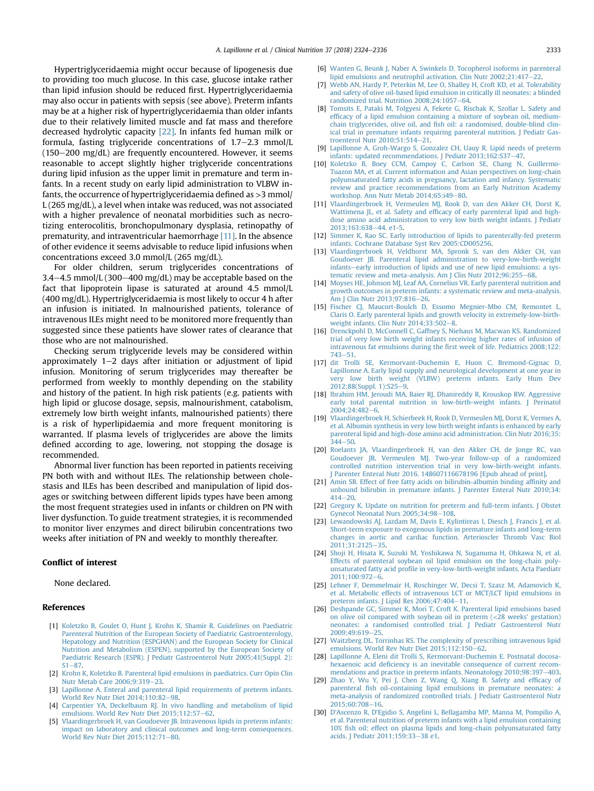<span id="page-9-0"></span>Hypertriglyceridaemia might occur because of lipogenesis due to providing too much glucose. In this case, glucose intake rather than lipid infusion should be reduced first. Hypertriglyceridaemia may also occur in patients with sepsis (see above). Preterm infants may be at a higher risk of hypertriglyceridaemia than older infants due to their relatively limited muscle and fat mass and therefore decreased hydrolytic capacity [22]. In infants fed human milk or formula, fasting triglyceride concentrations of  $1.7-2.3$  mmol/L  $(150-200 \text{ mg/dL})$  are frequently encountered. However, it seems reasonable to accept slightly higher triglyceride concentrations during lipid infusion as the upper limit in premature and term infants. In a recent study on early lipid administration to VLBW infants, the occurrence of hypertriglyceridaemia defined as >3 mmol/ L (265 mg/dL), a level when intake was reduced, was not associated with a higher prevalence of neonatal morbidities such as necrotizing enterocolitis, bronchopulmonary dysplasia, retinopathy of prematurity, and intraventricular haemorrhage [11]. In the absence of other evidence it seems advisable to reduce lipid infusions when concentrations exceed 3.0 mmol/L (265 mg/dL).

For older children, serum triglycerides concentrations of 3.4–4.5 mmol/L (300–400 mg/dL) may be acceptable based on the fact that lipoprotein lipase is saturated at around 4.5 mmol/L (400 mg/dL). Hypertriglyceridaemia is most likely to occur 4 h after an infusion is initiated. In malnourished patients, tolerance of intravenous ILEs might need to be monitored more frequently than suggested since these patients have slower rates of clearance that those who are not malnourished.

Checking serum triglyceride levels may be considered within approximately  $1-2$  days after initiation or adjustment of lipid infusion. Monitoring of serum triglycerides may thereafter be performed from weekly to monthly depending on the stability and history of the patient. In high risk patients (e.g. patients with high lipid or glucose dosage, sepsis, malnourishment, catabolism, extremely low birth weight infants, malnourished patients) there is a risk of hyperlipidaemia and more frequent monitoring is warranted. If plasma levels of triglycerides are above the limits defined according to age, lowering, not stopping the dosage is recommended.

Abnormal liver function has been reported in patients receiving PN both with and without ILEs. The relationship between cholestasis and ILEs has been described and manipulation of lipid dosages or switching between different lipids types have been among the most frequent strategies used in infants or children on PN with liver dysfunction. To guide treatment strategies, it is recommended to monitor liver enzymes and direct bilirubin concentrations two weeks after initiation of PN and weekly to monthly thereafter.

## Conflict of interest

None declared.

#### References

- [1] [Koletzko B, Goulet O, Hunt J, Krohn K, Shamir R. Guidelines on Paediatric](http://refhub.elsevier.com/S0261-5614(18)31165-8/sref1) [Parenteral Nutrition of the European Society of Paediatric Gastroenterology,](http://refhub.elsevier.com/S0261-5614(18)31165-8/sref1) [Hepatology and Nutrition \(ESPGHAN\) and the European Society for Clinical](http://refhub.elsevier.com/S0261-5614(18)31165-8/sref1) [Nutrition and Metabolism \(ESPEN\), supported by the European Society of](http://refhub.elsevier.com/S0261-5614(18)31165-8/sref1) [Paediatric Research \(ESPR\). J Pediatr Gastroenterol Nutr 2005;41\(Suppl. 2\):](http://refhub.elsevier.com/S0261-5614(18)31165-8/sref1)  $S1 - 87$  $S1 - 87$
- [2] [Krohn K, Koletzko B. Parenteral lipid emulsions in paediatrics. Curr Opin Clin](http://refhub.elsevier.com/S0261-5614(18)31165-8/sref2) [Nutr Metab Care 2006;9:319](http://refhub.elsevier.com/S0261-5614(18)31165-8/sref2)-[23.](http://refhub.elsevier.com/S0261-5614(18)31165-8/sref2)
- [3] [Lapillonne A. Enteral and parenteral lipid requirements of preterm infants.](http://refhub.elsevier.com/S0261-5614(18)31165-8/sref3) [World Rev Nutr Diet 2014;110:82](http://refhub.elsevier.com/S0261-5614(18)31165-8/sref3)-[98.](http://refhub.elsevier.com/S0261-5614(18)31165-8/sref3)
- [4] [Carpentier YA, Deckelbaum RJ. In vivo handling and metabolism of lipid](http://refhub.elsevier.com/S0261-5614(18)31165-8/sref4) [emulsions. World Rev Nutr Diet 2015;112:57](http://refhub.elsevier.com/S0261-5614(18)31165-8/sref4)–[62](http://refhub.elsevier.com/S0261-5614(18)31165-8/sref4).
- [Vlaardingerbroek H, van Goudoever JB. Intravenous lipids in preterm infants:](http://refhub.elsevier.com/S0261-5614(18)31165-8/sref5) [impact on laboratory and clinical outcomes and long-term consequences.](http://refhub.elsevier.com/S0261-5614(18)31165-8/sref5) [World Rev Nutr Diet 2015;112:71](http://refhub.elsevier.com/S0261-5614(18)31165-8/sref5)-[80.](http://refhub.elsevier.com/S0261-5614(18)31165-8/sref5)
- [6] [Wanten G, Beunk J, Naber A, Swinkels D. Tocopherol isoforms in parenteral](http://refhub.elsevier.com/S0261-5614(18)31165-8/sref6) lipid emulsions and neutrophil activation. Clin Nutr  $2002;21:417-22$ .
- [7] [Webb AN, Hardy P, Peterkin M, Lee O, Shalley H, Croft KD, et al. Tolerability](http://refhub.elsevier.com/S0261-5614(18)31165-8/sref7) [and safety of olive oil-based lipid emulsion in critically ill neonates: a blinded](http://refhub.elsevier.com/S0261-5614(18)31165-8/sref7) randomized trial. Nutrition  $2008;24:1057-64$ .
- [8] [Tomsits E, Pataki M, Tolgyesi A, Fekete G, Rischak K, Szollar L. Safety and](http://refhub.elsevier.com/S0261-5614(18)31165-8/sref8) effi[cacy of a lipid emulsion containing a mixture of soybean oil, medium](http://refhub.elsevier.com/S0261-5614(18)31165-8/sref8)chain triglycerides, olive oil, and fi[sh oil: a randomised, double-blind clin](http://refhub.elsevier.com/S0261-5614(18)31165-8/sref8)[ical trial in premature infants requiring parenteral nutrition. J Pediatr Gas](http://refhub.elsevier.com/S0261-5614(18)31165-8/sref8)[troenterol Nutr 2010;51:514](http://refhub.elsevier.com/S0261-5614(18)31165-8/sref8) $-21$  $-21$ .
- [9] [Lapillonne A, Groh-Wargo S, Gonzalez CH, Uauy R. Lipid needs of preterm](http://refhub.elsevier.com/S0261-5614(18)31165-8/sref9) [infants: updated recommendations. J Pediatr 2013;162:S37](http://refhub.elsevier.com/S0261-5614(18)31165-8/sref9)-[47.](http://refhub.elsevier.com/S0261-5614(18)31165-8/sref9)
- [10] [Koletzko B, Boey CCM, Campoy C, Carlson SE, Chang N, Guillermo-](http://refhub.elsevier.com/S0261-5614(18)31165-8/sref10)[Tuazon MA, et al. Current information and Asian perspectives on long-chain](http://refhub.elsevier.com/S0261-5614(18)31165-8/sref10) [polyunsaturated fatty acids in pregnancy, lactation and infancy. Systematic](http://refhub.elsevier.com/S0261-5614(18)31165-8/sref10) [review and practice recommendations from an Early Nutrition Academy](http://refhub.elsevier.com/S0261-5614(18)31165-8/sref10) workshop. Ann Nutr Metab  $2014:65:149-80$ .
- [11] [Vlaardingerbroek H, Vermeulen MJ, Rook D, van den Akker CH, Dorst K,](http://refhub.elsevier.com/S0261-5614(18)31165-8/sref11) Wattimena JL, et al. Safety and effi[cacy of early parenteral lipid and high](http://refhub.elsevier.com/S0261-5614(18)31165-8/sref11)[dose amino acid administration to very low birth weight infants. J Pediatr](http://refhub.elsevier.com/S0261-5614(18)31165-8/sref11) 2013:163:638-[44. e1-5.](http://refhub.elsevier.com/S0261-5614(18)31165-8/sref11)
- [12] [Simmer K, Rao SC. Early introduction of lipids to parenterally-fed preterm](http://refhub.elsevier.com/S0261-5614(18)31165-8/sref12) [infants. Cochrane Database Syst Rev 2005:CD005256.](http://refhub.elsevier.com/S0261-5614(18)31165-8/sref12)
- [13] [Vlaardingerbroek H, Veldhorst MA, Spronk S, van den Akker CH, van](http://refhub.elsevier.com/S0261-5614(18)31165-8/sref13) [Goudoever JB. Parenteral lipid administration to very-low-birth-weight](http://refhub.elsevier.com/S0261-5614(18)31165-8/sref13) [infants](http://refhub.elsevier.com/S0261-5614(18)31165-8/sref13)-[early introduction of lipids and use of new lipid emulsions: a sys](http://refhub.elsevier.com/S0261-5614(18)31165-8/sref13)[tematic review and meta-analysis. Am J Clin Nutr 2012;96:255](http://refhub.elsevier.com/S0261-5614(18)31165-8/sref13)-[68.](http://refhub.elsevier.com/S0261-5614(18)31165-8/sref13)
- [14] [Moyses HE, Johnson MJ, Leaf AA, Cornelius VR. Early parenteral nutrition and](http://refhub.elsevier.com/S0261-5614(18)31165-8/sref14) [growth outcomes in preterm infants: a systematic review and meta-analysis.](http://refhub.elsevier.com/S0261-5614(18)31165-8/sref14) [Am J Clin Nutr 2013;97:816](http://refhub.elsevier.com/S0261-5614(18)31165-8/sref14)-[26.](http://refhub.elsevier.com/S0261-5614(18)31165-8/sref14)
- [15] [Fischer CJ, Maucort-Boulch D, Essomo Megnier-Mbo CM, Remontet L,](http://refhub.elsevier.com/S0261-5614(18)31165-8/sref15) [Claris O. Early parenteral lipids and growth velocity in extremely-low-birth](http://refhub.elsevier.com/S0261-5614(18)31165-8/sref15)weight infants. Clin Nutr  $2014;33:502-8$ .
- [16] [Drenckpohl D, McConnell C, Gaffney S, Niehaus M, Macwan KS. Randomized](http://refhub.elsevier.com/S0261-5614(18)31165-8/sref16) [trial of very low birth weight infants receiving higher rates of infusion of](http://refhub.elsevier.com/S0261-5614(18)31165-8/sref16) [intravenous fat emulsions during the](http://refhub.elsevier.com/S0261-5614(18)31165-8/sref16) first week of life. Pediatrics 2008;122:  $743 - 51.$  $743 - 51.$  $743 - 51.$  $743 - 51.$
- [17] [dit Trolli SE, Kermorvant-Duchemin E, Huon C, Bremond-Gignac D,](http://refhub.elsevier.com/S0261-5614(18)31165-8/sref17) [Lapillonne A. Early lipid supply and neurological development at one year in](http://refhub.elsevier.com/S0261-5614(18)31165-8/sref17) [very low birth weight \(VLBW\) preterm infants. Early Hum Dev](http://refhub.elsevier.com/S0261-5614(18)31165-8/sref17) [2012;88\(Suppl. 1\):S25](http://refhub.elsevier.com/S0261-5614(18)31165-8/sref17)-[9](http://refhub.elsevier.com/S0261-5614(18)31165-8/sref17).
- [18] [Ibrahim HM, Jeroudi MA, Baier RJ, Dhanireddy R, Krouskop RW. Aggressive](http://refhub.elsevier.com/S0261-5614(18)31165-8/sref18) [early total parental nutrition in low-birth-weight infants. J Perinatol](http://refhub.elsevier.com/S0261-5614(18)31165-8/sref18) 2004:24:482-[6.](http://refhub.elsevier.com/S0261-5614(18)31165-8/sref18)
- [19] [Vlaardingerbroek H, Schierbeek H, Rook D, Vermeulen MJ, Dorst K, Vermes A,](http://refhub.elsevier.com/S0261-5614(18)31165-8/sref19) [et al. Albumin synthesis in very low birth weight infants is enhanced by early](http://refhub.elsevier.com/S0261-5614(18)31165-8/sref19) [parenteral lipid and high-dose amino acid administration. Clin Nutr 2016;35:](http://refhub.elsevier.com/S0261-5614(18)31165-8/sref19)  $344 - 50$  $344 - 50$  $344 - 50$
- [20] [Roelants JA, Vlaardingerbroek H, van den Akker CH, de Jonge RC, van](http://refhub.elsevier.com/S0261-5614(18)31165-8/sref20) [Goudoever JB, Vermeulen MJ. Two-year follow-up of a randomized](http://refhub.elsevier.com/S0261-5614(18)31165-8/sref20) [controlled nutrition intervention trial in very low-birth-weight infants.](http://refhub.elsevier.com/S0261-5614(18)31165-8/sref20) [J Parenter Enteral Nutr 2016. 148607116678196 \[Epub ahead of print\]](http://refhub.elsevier.com/S0261-5614(18)31165-8/sref20).
- [21] [Amin SB. Effect of free fatty acids on bilirubin-albumin binding af](http://refhub.elsevier.com/S0261-5614(18)31165-8/sref21)finity and [unbound bilirubin in premature infants. J Parenter Enteral Nutr 2010;34:](http://refhub.elsevier.com/S0261-5614(18)31165-8/sref21)  $414 - 20.$  $414 - 20.$  $414 - 20.$  $414 - 20.$
- [22] [Gregory K. Update on nutrition for preterm and full-term infants. J Obstet](http://refhub.elsevier.com/S0261-5614(18)31165-8/sref22) [Gynecol Neonatal Nurs 2005;34:98](http://refhub.elsevier.com/S0261-5614(18)31165-8/sref22)-[108](http://refhub.elsevier.com/S0261-5614(18)31165-8/sref22).
- [23] [Lewandowski AJ, Lazdam M, Davis E, Kylintireas I, Diesch J, Francis J, et al.](http://refhub.elsevier.com/S0261-5614(18)31165-8/sref23) [Short-term exposure to exogenous lipids in premature infants and long-term](http://refhub.elsevier.com/S0261-5614(18)31165-8/sref23) [changes in aortic and cardiac function. Arterioscler Thromb Vasc Biol](http://refhub.elsevier.com/S0261-5614(18)31165-8/sref23) [2011;31:2125](http://refhub.elsevier.com/S0261-5614(18)31165-8/sref23)-[35](http://refhub.elsevier.com/S0261-5614(18)31165-8/sref23).
- [24] [Shoji H, Hisata K, Suzuki M, Yoshikawa N, Suganuma H, Ohkawa N, et al.](http://refhub.elsevier.com/S0261-5614(18)31165-8/sref24) [Effects of parenteral soybean oil lipid emulsion on the long-chain poly](http://refhub.elsevier.com/S0261-5614(18)31165-8/sref24)unsaturated fatty acid profi[le in very-low-birth-weight infants. Acta Paediatr](http://refhub.elsevier.com/S0261-5614(18)31165-8/sref24) 2011:100:972-[6.](http://refhub.elsevier.com/S0261-5614(18)31165-8/sref24)
- [25] [Lehner F, Demmelmair H, Roschinger W, Decsi T, Szasz M, Adamovich K,](http://refhub.elsevier.com/S0261-5614(18)31165-8/sref25) [et al. Metabolic effects of intravenous LCT or MCT/LCT lipid emulsions in](http://refhub.elsevier.com/S0261-5614(18)31165-8/sref25) [preterm infants. J Lipid Res 2006;47:404](http://refhub.elsevier.com/S0261-5614(18)31165-8/sref25)-[11](http://refhub.elsevier.com/S0261-5614(18)31165-8/sref25).
- [26] [Deshpande GC, Simmer K, Mori T, Croft K. Parenteral lipid emulsions based](http://refhub.elsevier.com/S0261-5614(18)31165-8/sref26) [on olive oil compared with soybean oil in preterm \(](http://refhub.elsevier.com/S0261-5614(18)31165-8/sref26)<28 weeks' gestation) [neonates: a randomised controlled trial. J Pediatr Gastroenterol Nutr](http://refhub.elsevier.com/S0261-5614(18)31165-8/sref26)  $2009:49:619-25.$  $2009:49:619-25.$
- [27] [Waitzberg DL, Torrinhas RS. The complexity of prescribing intravenous lipid](http://refhub.elsevier.com/S0261-5614(18)31165-8/sref27) [emulsions. World Rev Nutr Diet 2015;112:150](http://refhub.elsevier.com/S0261-5614(18)31165-8/sref27)-[62](http://refhub.elsevier.com/S0261-5614(18)31165-8/sref27).
- [28] [Lapillonne A, Eleni dit Trolli S, Kermorvant-Duchemin E. Postnatal docosa](http://refhub.elsevier.com/S0261-5614(18)31165-8/sref28)hexaenoic acid defi[ciency is an inevitable consequence of current recom](http://refhub.elsevier.com/S0261-5614(18)31165-8/sref28)[mendations and practice in preterm infants. Neonatology 2010;98:397](http://refhub.elsevier.com/S0261-5614(18)31165-8/sref28)-[403](http://refhub.elsevier.com/S0261-5614(18)31165-8/sref28).
- [29] [Zhao Y, Wu Y, Pei J, Chen Z, Wang Q, Xiang B. Safety and ef](http://refhub.elsevier.com/S0261-5614(18)31165-8/sref29)ficacy of parenteral fi[sh oil-containing lipid emulsions in premature neonates: a](http://refhub.elsevier.com/S0261-5614(18)31165-8/sref29) [meta-analysis of randomized controlled trials. J Pediatr Gastroenterol Nutr](http://refhub.elsevier.com/S0261-5614(18)31165-8/sref29) 2015:60:708-[16.](http://refhub.elsevier.com/S0261-5614(18)31165-8/sref29)
- [30] [D'Ascenzo R, D'Egidio S, Angelini L, Bellagamba MP, Manna M, Pompilio A,](http://refhub.elsevier.com/S0261-5614(18)31165-8/sref30) [et al. Parenteral nutrition of preterm infants with a lipid emulsion containing](http://refhub.elsevier.com/S0261-5614(18)31165-8/sref30) 10% fi[sh oil: effect on plasma lipids and long-chain polyunsaturated fatty](http://refhub.elsevier.com/S0261-5614(18)31165-8/sref30) [acids. J Pediatr 2011;159:33](http://refhub.elsevier.com/S0261-5614(18)31165-8/sref30)-[38 e1](http://refhub.elsevier.com/S0261-5614(18)31165-8/sref30).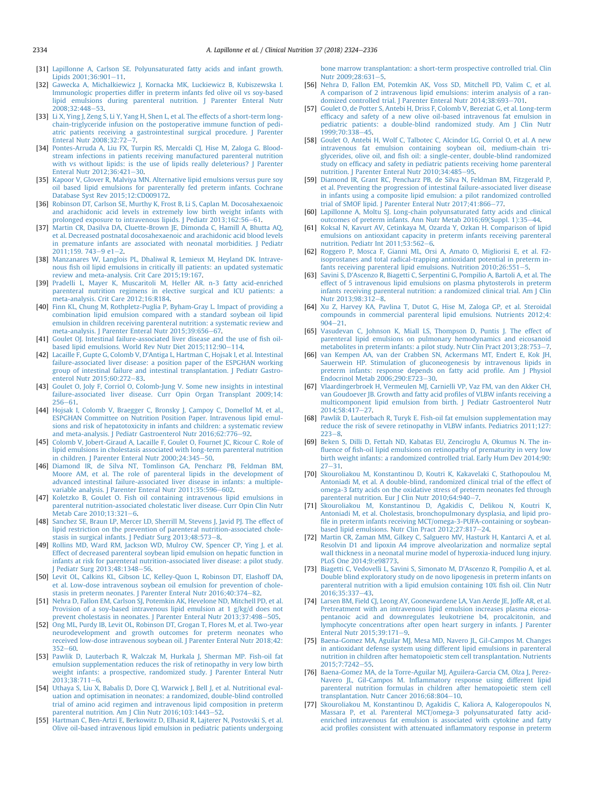- <span id="page-10-0"></span>[31] [Lapillonne A, Carlson SE. Polyunsaturated fatty acids and infant growth.](http://refhub.elsevier.com/S0261-5614(18)31165-8/sref31) Lipids  $2001;36:901-11$ .
- [32] [Gawecka A, Michalkiewicz J, Kornacka MK, Luckiewicz B, Kubiszewska I.](http://refhub.elsevier.com/S0261-5614(18)31165-8/sref32) [Immunologic properties differ in preterm infants fed olive oil vs soy-based](http://refhub.elsevier.com/S0261-5614(18)31165-8/sref32) [lipid emulsions during parenteral nutrition. J Parenter Enteral Nutr](http://refhub.elsevier.com/S0261-5614(18)31165-8/sref32)  $2008:32:448-53$
- [33] [Li X, Ying J, Zeng S, Li Y, Yang H, Shen L, et al. The effects of a short-term long](http://refhub.elsevier.com/S0261-5614(18)31165-8/sref33)[chain-triglyceride infusion on the postoperative immune function of pedi](http://refhub.elsevier.com/S0261-5614(18)31165-8/sref33)[atric patients receiving a gastrointestinal surgical procedure. J Parenter](http://refhub.elsevier.com/S0261-5614(18)31165-8/sref33) Enteral Nutr  $2008;32:72-7$  $2008;32:72-7$  $2008;32:72-7$ .
- [34] Pontes-Arruda A, Liu FX, Turpin RS, Mercaldi Cl, Hise M, Zaloga G, Blood[stream infections in patients receiving manufactured parenteral nutrition](http://refhub.elsevier.com/S0261-5614(18)31165-8/sref34) [with vs without lipids: is the use of lipids really deleterious? J Parenter](http://refhub.elsevier.com/S0261-5614(18)31165-8/sref34) Enteral Nutr  $2012.36:421-30$ .
- [35] [Kapoor V, Glover R, Malviya MN. Alternative lipid emulsions versus pure soy](http://refhub.elsevier.com/S0261-5614(18)31165-8/sref35) [oil based lipid emulsions for parenterally fed preterm infants. Cochrane](http://refhub.elsevier.com/S0261-5614(18)31165-8/sref35) [Database Syst Rev 2015;12:CD009172.](http://refhub.elsevier.com/S0261-5614(18)31165-8/sref35)
- [36] [Robinson DT, Carlson SE, Murthy K, Frost B, Li S, Caplan M. Docosahexaenoic](http://refhub.elsevier.com/S0261-5614(18)31165-8/sref36) [and arachidonic acid levels in extremely low birth weight infants with](http://refhub.elsevier.com/S0261-5614(18)31165-8/sref36)<br>[prolonged exposure to intravenous lipids. J Pediatr 2013;162:56](http://refhub.elsevier.com/S0261-5614(18)31165-8/sref36)–[61.](http://refhub.elsevier.com/S0261-5614(18)31165-8/sref36)
- [37] [Martin CR, Dasilva DA, Cluette-Brown JE, Dimonda C, Hamill A, Bhutta AQ,](http://refhub.elsevier.com/S0261-5614(18)31165-8/sref37) [et al. Decreased postnatal docosahexaenoic and arachidonic acid blood levels](http://refhub.elsevier.com/S0261-5614(18)31165-8/sref37) in premature infants are associated with neonatal morbidities. I Pediatr  $2011:159.743 - 9e1 - 2$
- [38] [Manzanares W, Langlois PL, Dhaliwal R, Lemieux M, Heyland DK. Intrave](http://refhub.elsevier.com/S0261-5614(18)31165-8/sref38)nous fi[sh oil lipid emulsions in critically ill patients: an updated systematic](http://refhub.elsevier.com/S0261-5614(18)31165-8/sref38) [review and meta-analysis. Crit Care 2015;19:167.](http://refhub.elsevier.com/S0261-5614(18)31165-8/sref38)
- [39] [Pradelli L, Mayer K, Muscaritoli M, Heller AR. n-3 fatty acid-enriched](http://refhub.elsevier.com/S0261-5614(18)31165-8/sref39) [parenteral nutrition regimens in elective surgical and ICU patients: a](http://refhub.elsevier.com/S0261-5614(18)31165-8/sref39) [meta-analysis. Crit Care 2012;16:R184](http://refhub.elsevier.com/S0261-5614(18)31165-8/sref39).
- [40] [Finn KL, Chung M, Rothpletz-Puglia P, Byham-Gray L. Impact of providing a](http://refhub.elsevier.com/S0261-5614(18)31165-8/sref40) [combination lipid emulsion compared with a standard soybean oil lipid](http://refhub.elsevier.com/S0261-5614(18)31165-8/sref40) [emulsion in children receiving parenteral nutrition: a systematic review and](http://refhub.elsevier.com/S0261-5614(18)31165-8/sref40) [meta-analysis. J Parenter Enteral Nutr 2015;39:656](http://refhub.elsevier.com/S0261-5614(18)31165-8/sref40)-[67.](http://refhub.elsevier.com/S0261-5614(18)31165-8/sref40)
- [41] [Goulet OJ. Intestinal failure-associated liver disease and the use of](http://refhub.elsevier.com/S0261-5614(18)31165-8/sref41) fish oil[based lipid emulsions. World Rev Nutr Diet 2015;112:90](http://refhub.elsevier.com/S0261-5614(18)31165-8/sref41)-[114](http://refhub.elsevier.com/S0261-5614(18)31165-8/sref41).
- [42] [Lacaille F, Gupte G, Colomb V, D'Antiga L, Hartman C, Hojsak I, et al. Intestinal](http://refhub.elsevier.com/S0261-5614(18)31165-8/sref42) [failure-associated liver disease: a position paper of the ESPGHAN working](http://refhub.elsevier.com/S0261-5614(18)31165-8/sref42) [group of intestinal failure and intestinal transplantation. J Pediatr Gastro-](http://refhub.elsevier.com/S0261-5614(18)31165-8/sref42)enterol Nutr 2015:60:272-[83.](http://refhub.elsevier.com/S0261-5614(18)31165-8/sref42)
- [43] [Goulet O, Joly F, Corriol O, Colomb-Jung V. Some new insights in intestinal](http://refhub.elsevier.com/S0261-5614(18)31165-8/sref43) [failure-associated liver disease. Curr Opin Organ Transplant 2009;14:](http://refhub.elsevier.com/S0261-5614(18)31165-8/sref43)  $256 - 61$  $256 - 61$
- [44] [Hojsak I, Colomb V, Braegger C, Bronsky J, Campoy C, Domellof M, et al.,](http://refhub.elsevier.com/S0261-5614(18)31165-8/sref44) [ESPGHAN Committee on Nutrition Position Paper. Intravenous lipid emul](http://refhub.elsevier.com/S0261-5614(18)31165-8/sref44)[sions and risk of hepatotoxicity in infants and children: a systematic review](http://refhub.elsevier.com/S0261-5614(18)31165-8/sref44) [and meta-analysis. J Pediatr Gastroenterol Nutr 2016;62:776](http://refhub.elsevier.com/S0261-5614(18)31165-8/sref44)-[92.](http://refhub.elsevier.com/S0261-5614(18)31165-8/sref44)
- [45] [Colomb V, Jobert-Giraud A, Lacaille F, Goulet O, Fournet JC, Ricour C. Role of](http://refhub.elsevier.com/S0261-5614(18)31165-8/sref45) [lipid emulsions in cholestasis associated with long-term parenteral nutrition](http://refhub.elsevier.com/S0261-5614(18)31165-8/sref45) in children. J Parenter Enteral Nutr  $2000;24:345-50$ .
- [46] [Diamond IR, de Silva NT, Tomlinson GA, Pencharz PB, Feldman BM,](http://refhub.elsevier.com/S0261-5614(18)31165-8/sref46) [Moore AM, et al. The role of parenteral lipids in the development of](http://refhub.elsevier.com/S0261-5614(18)31165-8/sref46) [advanced intestinal failure-associated liver disease in infants: a multiple](http://refhub.elsevier.com/S0261-5614(18)31165-8/sref46)[variable analysis. J Parenter Enteral Nutr 2011;35:596](http://refhub.elsevier.com/S0261-5614(18)31165-8/sref46)-[602.](http://refhub.elsevier.com/S0261-5614(18)31165-8/sref46)
- [47] [Koletzko B, Goulet O. Fish oil containing intravenous lipid emulsions in](http://refhub.elsevier.com/S0261-5614(18)31165-8/sref47) [parenteral nutrition-associated cholestatic liver disease. Curr Opin Clin Nutr](http://refhub.elsevier.com/S0261-5614(18)31165-8/sref47) [Metab Care 2010;13:321](http://refhub.elsevier.com/S0261-5614(18)31165-8/sref47)-[6](http://refhub.elsevier.com/S0261-5614(18)31165-8/sref47).
- [48] [Sanchez SE, Braun LP, Mercer LD, Sherrill M, Stevens J, Javid PJ. The effect of](http://refhub.elsevier.com/S0261-5614(18)31165-8/sref48) [lipid restriction on the prevention of parenteral nutrition-associated chole](http://refhub.elsevier.com/S0261-5614(18)31165-8/sref48)[stasis in surgical infants. J Pediatr Surg 2013;48:573](http://refhub.elsevier.com/S0261-5614(18)31165-8/sref48)-[8.](http://refhub.elsevier.com/S0261-5614(18)31165-8/sref48)
- [49] [Rollins MD, Ward RM, Jackson WD, Mulroy CW, Spencer CP, Ying J, et al.](http://refhub.elsevier.com/S0261-5614(18)31165-8/sref49) [Effect of decreased parenteral soybean lipid emulsion on hepatic function in](http://refhub.elsevier.com/S0261-5614(18)31165-8/sref49) [infants at risk for parenteral nutrition-associated liver disease: a pilot study.](http://refhub.elsevier.com/S0261-5614(18)31165-8/sref49) Pediatr Surg 2013;48:1348-[56.](http://refhub.elsevier.com/S0261-5614(18)31165-8/sref49)
- [50] [Levit OL, Calkins KL, Gibson LC, Kelley-Quon L, Robinson DT, Elashoff DA,](http://refhub.elsevier.com/S0261-5614(18)31165-8/sref50) [et al. Low-dose intravenous soybean oil emulsion for prevention of chole](http://refhub.elsevier.com/S0261-5614(18)31165-8/sref50)[stasis in preterm neonates. J Parenter Enteral Nutr 2016;40:374](http://refhub.elsevier.com/S0261-5614(18)31165-8/sref50)-[82.](http://refhub.elsevier.com/S0261-5614(18)31165-8/sref50)
- [51] [Nehra D, Fallon EM, Carlson SJ, Potemkin AK, Hevelone ND, Mitchell PD, et al.](http://refhub.elsevier.com/S0261-5614(18)31165-8/sref51) [Provision of a soy-based intravenous lipid emulsion at 1 g/kg/d does not](http://refhub.elsevier.com/S0261-5614(18)31165-8/sref51) [prevent cholestasis in neonates. J Parenter Enteral Nutr 2013;37:498](http://refhub.elsevier.com/S0261-5614(18)31165-8/sref51)-[505.](http://refhub.elsevier.com/S0261-5614(18)31165-8/sref51)
- [52] [Ong ML, Purdy IB, Levit OL, Robinson DT, Grogan T, Flores M, et al. Two-year](http://refhub.elsevier.com/S0261-5614(18)31165-8/sref52) [neurodevelopment and growth outcomes for preterm neonates who](http://refhub.elsevier.com/S0261-5614(18)31165-8/sref52) [received low-dose intravenous soybean oil. J Parenter Enteral Nutr 2018;42:](http://refhub.elsevier.com/S0261-5614(18)31165-8/sref52)  $352 - 60.$  $352 - 60.$  $352 - 60.$
- [53] [Pawlik D, Lauterbach R, Walczak M, Hurkala J, Sherman MP. Fish-oil fat](http://refhub.elsevier.com/S0261-5614(18)31165-8/sref53) [emulsion supplementation reduces the risk of retinopathy in very low birth](http://refhub.elsevier.com/S0261-5614(18)31165-8/sref53) [weight infants: a prospective, randomized study. J Parenter Enteral Nutr](http://refhub.elsevier.com/S0261-5614(18)31165-8/sref53) [2013;38:711](http://refhub.elsevier.com/S0261-5614(18)31165-8/sref53)-[6](http://refhub.elsevier.com/S0261-5614(18)31165-8/sref53).
- [54] [Uthaya S, Liu X, Babalis D, Dore CJ, Warwick J, Bell J, et al. Nutritional eval](http://refhub.elsevier.com/S0261-5614(18)31165-8/sref54)[uation and optimisation in neonates: a randomized, double-blind controlled](http://refhub.elsevier.com/S0261-5614(18)31165-8/sref54) [trial of amino acid regimen and intravenous lipid composition in preterm](http://refhub.elsevier.com/S0261-5614(18)31165-8/sref54) [parenteral nutrition. Am J Clin Nutr 2016;103:1443](http://refhub.elsevier.com/S0261-5614(18)31165-8/sref54)-[52.](http://refhub.elsevier.com/S0261-5614(18)31165-8/sref54)
- [55] [Hartman C, Ben-Artzi E, Berkowitz D, Elhasid R, Lajterer N, Postovski S, et al.](http://refhub.elsevier.com/S0261-5614(18)31165-8/sref55) [Olive oil-based intravenous lipid emulsion in pediatric patients undergoing](http://refhub.elsevier.com/S0261-5614(18)31165-8/sref55)

[bone marrow transplantation: a short-term prospective controlled trial. Clin](http://refhub.elsevier.com/S0261-5614(18)31165-8/sref55) [Nutr 2009;28:631](http://refhub.elsevier.com/S0261-5614(18)31165-8/sref55)-[5](http://refhub.elsevier.com/S0261-5614(18)31165-8/sref55).

- [56] [Nehra D, Fallon EM, Potemkin AK, Voss SD, Mitchell PD, Valim C, et al.](http://refhub.elsevier.com/S0261-5614(18)31165-8/sref56) [A comparison of 2 intravenous lipid emulsions: interim analysis of a ran](http://refhub.elsevier.com/S0261-5614(18)31165-8/sref56)[domized controlled trial. J Parenter Enteral Nutr 2014;38:693](http://refhub.elsevier.com/S0261-5614(18)31165-8/sref56)-[701.](http://refhub.elsevier.com/S0261-5614(18)31165-8/sref56)
- [57] [Goulet O, de Potter S, Antebi H, Driss F, Colomb V, Bereziat G, et al. Long-term](http://refhub.elsevier.com/S0261-5614(18)31165-8/sref57) effi[cacy and safety of a new olive oil-based intravenous fat emulsion in](http://refhub.elsevier.com/S0261-5614(18)31165-8/sref57) [pediatric patients: a double-blind randomized study. Am J Clin Nutr](http://refhub.elsevier.com/S0261-5614(18)31165-8/sref57)  $1999:70:338 - 45.$  $1999:70:338 - 45.$
- [58] [Goulet O, Antebi H, Wolf C, Talbotec C, Alcindor LG, Corriol O, et al. A new](http://refhub.elsevier.com/S0261-5614(18)31165-8/sref58) [intravenous fat emulsion containing soybean oil, medium-chain tri](http://refhub.elsevier.com/S0261-5614(18)31165-8/sref58)glycerides, olive oil, and fi[sh oil: a single-center, double-blind randomized](http://refhub.elsevier.com/S0261-5614(18)31165-8/sref58) study on effi[cacy and safety in pediatric patients receiving home parenteral](http://refhub.elsevier.com/S0261-5614(18)31165-8/sref58) nutrition. J Parenter Enteral Nutr  $2010:34:485-95$ .
- [59] [Diamond IR, Grant RC, Pencharz PB, de Silva N, Feldman BM, Fitzgerald P,](http://refhub.elsevier.com/S0261-5614(18)31165-8/sref59) [et al. Preventing the progression of intestinal failure-associated liver disease](http://refhub.elsevier.com/S0261-5614(18)31165-8/sref59) [in infants using a composite lipid emulsion: a pilot randomized controlled](http://refhub.elsevier.com/S0261-5614(18)31165-8/sref59) trial of SMOF lipid. J Parenter Enteral Nutr  $2017:41:866-77$ .
- [60] [Lapillonne A, Moltu SJ. Long-chain polyunsaturated fatty acids and clinical](http://refhub.elsevier.com/S0261-5614(18)31165-8/sref60) [outcomes of preterm infants. Ann Nutr Metab 2016;69\(Suppl. 1\):35](http://refhub.elsevier.com/S0261-5614(18)31165-8/sref60)-[44.](http://refhub.elsevier.com/S0261-5614(18)31165-8/sref60)
- [61] [Koksal N, Kavurt AV, Cetinkaya M, Ozarda Y, Ozkan H. Comparison of lipid](http://refhub.elsevier.com/S0261-5614(18)31165-8/sref61) [emulsions on antioxidant capacity in preterm infants receiving parenteral](http://refhub.elsevier.com/S0261-5614(18)31165-8/sref61) nutrition. Pediatr Int  $2011;53:562-6$  $2011;53:562-6$  $2011;53:562-6$ .
- [62] [Roggero P, Mosca F, Gianni ML, Orsi A, Amato O, Migliorisi E, et al. F2](http://refhub.elsevier.com/S0261-5614(18)31165-8/sref62) [isoprostanes and total radical-trapping antioxidant potential in preterm in](http://refhub.elsevier.com/S0261-5614(18)31165-8/sref62)fants receiving parenteral lipid emulsions. Nutrition  $2010;26:551-5$  $2010;26:551-5$  $2010;26:551-5$ .
- [63] [Savini S, D'Ascenzo R, Biagetti C, Serpentini G, Pompilio A, Bartoli A, et al. The](http://refhub.elsevier.com/S0261-5614(18)31165-8/sref63) [effect of 5 intravenous lipid emulsions on plasma phytosterols in preterm](http://refhub.elsevier.com/S0261-5614(18)31165-8/sref63) [infants receiving parenteral nutrition: a randomized clinical trial. Am J Clin](http://refhub.elsevier.com/S0261-5614(18)31165-8/sref63) Nutr 2013:9[8](http://refhub.elsevier.com/S0261-5614(18)31165-8/sref63):312-8.
- [64] [Xu Z, Harvey KA, Pavlina T, Dutot G, Hise M, Zaloga GP, et al. Steroidal](http://refhub.elsevier.com/S0261-5614(18)31165-8/sref64) [compounds in commercial parenteral lipid emulsions. Nutrients 2012;4:](http://refhub.elsevier.com/S0261-5614(18)31165-8/sref64)  $904 - 21.$  $904 - 21.$  $904 - 21.$
- [65] [Vasudevan C, Johnson K, Miall LS, Thompson D, Puntis J. The effect of](http://refhub.elsevier.com/S0261-5614(18)31165-8/sref65) [parenteral lipid emulsions on pulmonary hemodynamics and eicosanoid](http://refhub.elsevier.com/S0261-5614(18)31165-8/sref65) [metabolites in preterm infants: a pilot study. Nutr Clin Pract 2013;28:753](http://refhub.elsevier.com/S0261-5614(18)31165-8/sref65)-[7](http://refhub.elsevier.com/S0261-5614(18)31165-8/sref65).
- [66] [van Kempen AA, van der Crabben SN, Ackermans MT, Endert E, Kok JH,](http://refhub.elsevier.com/S0261-5614(18)31165-8/sref66) [Sauerwein HP. Stimulation of gluconeogenesis by intravenous lipids in](http://refhub.elsevier.com/S0261-5614(18)31165-8/sref66) [preterm infants: response depends on fatty acid pro](http://refhub.elsevier.com/S0261-5614(18)31165-8/sref66)file. Am J Physiol Endocrinol Metab  $2006:290:E723-30$ .
- [67] [Vlaardingerbroek H, Vermeulen MJ, Carnielli VP, Vaz FM, van den Akker CH,](http://refhub.elsevier.com/S0261-5614(18)31165-8/sref67) [van Goudoever JB. Growth and fatty acid pro](http://refhub.elsevier.com/S0261-5614(18)31165-8/sref67)files of VLBW infants receiving a [multicomponent lipid emulsion from birth. J Pediatr Gastroenterol Nutr](http://refhub.elsevier.com/S0261-5614(18)31165-8/sref67) 2014:58:417-[27.](http://refhub.elsevier.com/S0261-5614(18)31165-8/sref67)
- [68] [Pawlik D, Lauterbach R, Turyk E. Fish-oil fat emulsion supplementation may](http://refhub.elsevier.com/S0261-5614(18)31165-8/sref68) [reduce the risk of severe retinopathy in VLBW infants. Pediatrics 2011;127:](http://refhub.elsevier.com/S0261-5614(18)31165-8/sref68)  $223 - 8$  $223 - 8$
- [69] [Beken S, Dilli D, Fettah ND, Kabatas EU, Zenciroglu A, Okumus N. The in](http://refhub.elsevier.com/S0261-5614(18)31165-8/sref69)fluence of fi[sh-oil lipid emulsions on retinopathy of prematurity in very low](http://refhub.elsevier.com/S0261-5614(18)31165-8/sref69) [birth weight infants: a randomized controlled trial. Early Hum Dev 2014;90:](http://refhub.elsevier.com/S0261-5614(18)31165-8/sref69)  $27 - 31.$  $27 - 31.$  $27 - 31.$
- [70] [Skouroliakou M, Konstantinou D, Koutri K, Kakavelaki C, Stathopoulou M,](http://refhub.elsevier.com/S0261-5614(18)31165-8/sref70) [Antoniadi M, et al. A double-blind, randomized clinical trial of the effect of](http://refhub.elsevier.com/S0261-5614(18)31165-8/sref70) [omega-3 fatty acids on the oxidative stress of preterm neonates fed through](http://refhub.elsevier.com/S0261-5614(18)31165-8/sref70) [parenteral nutrition. Eur J Clin Nutr 2010;64:940](http://refhub.elsevier.com/S0261-5614(18)31165-8/sref70)-[7](http://refhub.elsevier.com/S0261-5614(18)31165-8/sref70).
- [71] [Skouroliakou M, Konstantinou D, Agakidis C, Delikou N, Koutri K,](http://refhub.elsevier.com/S0261-5614(18)31165-8/sref71) [Antoniadi M, et al. Cholestasis, bronchopulmonary dysplasia, and lipid pro](http://refhub.elsevier.com/S0261-5614(18)31165-8/sref71)fi[le in preterm infants receiving MCT/omega-3-PUFA-containing or soybean](http://refhub.elsevier.com/S0261-5614(18)31165-8/sref71)[based lipid emulsions. Nutr Clin Pract 2012;27:817](http://refhub.elsevier.com/S0261-5614(18)31165-8/sref71)-[24.](http://refhub.elsevier.com/S0261-5614(18)31165-8/sref71)
- [72] [Martin CR, Zaman MM, Gilkey C, Salguero MV, Hasturk H, Kantarci A, et al.](http://refhub.elsevier.com/S0261-5614(18)31165-8/sref72) [Resolvin D1 and lipoxin A4 improve alveolarization and normalize septal](http://refhub.elsevier.com/S0261-5614(18)31165-8/sref72) [wall thickness in a neonatal murine model of hyperoxia-induced lung injury.](http://refhub.elsevier.com/S0261-5614(18)31165-8/sref72) [PLoS One 2014;9:e98773](http://refhub.elsevier.com/S0261-5614(18)31165-8/sref72).
- [73] [Biagetti C, Vedovelli L, Savini S, Simonato M, D'Ascenzo R, Pompilio A, et al.](http://refhub.elsevier.com/S0261-5614(18)31165-8/sref73) [Double blind exploratory study on de novo lipogenesis in preterm infants on](http://refhub.elsevier.com/S0261-5614(18)31165-8/sref73) [parenteral nutrition with a lipid emulsion containing 10%](http://refhub.elsevier.com/S0261-5614(18)31165-8/sref73) fish oil. Clin Nutr  $2016;35:337-43.$  $2016;35:337-43.$  $2016;35:337-43.$
- [74] [Larsen BM, Field CJ, Leong AY, Goonewardene LA, Van Aerde JE, Joffe AR, et al.](http://refhub.elsevier.com/S0261-5614(18)31165-8/sref74) [Pretreatment with an intravenous lipid emulsion increases plasma eicosa](http://refhub.elsevier.com/S0261-5614(18)31165-8/sref74)[pentanoic acid and downregulates leukotriene b4, procalcitonin, and](http://refhub.elsevier.com/S0261-5614(18)31165-8/sref74) [lymphocyte concentrations after open heart surgery in infants. J Parenter](http://refhub.elsevier.com/S0261-5614(18)31165-8/sref74) [Enteral Nutr 2015;39:171](http://refhub.elsevier.com/S0261-5614(18)31165-8/sref74)-[9](http://refhub.elsevier.com/S0261-5614(18)31165-8/sref74).
- [75] [Baena-Gomez MA, Aguilar MJ, Mesa MD, Navero JL, Gil-Campos M. Changes](http://refhub.elsevier.com/S0261-5614(18)31165-8/sref75) [in antioxidant defense system using different lipid emulsions in parenteral](http://refhub.elsevier.com/S0261-5614(18)31165-8/sref75) [nutrition in children after hematopoietic stem cell transplantation. Nutrients](http://refhub.elsevier.com/S0261-5614(18)31165-8/sref75) [2015;7:7242](http://refhub.elsevier.com/S0261-5614(18)31165-8/sref75)-[55.](http://refhub.elsevier.com/S0261-5614(18)31165-8/sref75)
- [76] [Baena-Gomez MA, de la Torre-Aguilar MJ, Aguilera-Garcia CM, Olza J, Perez-](http://refhub.elsevier.com/S0261-5614(18)31165-8/sref76)Navero JL, Gil-Campos M. Infl[ammatory response using different lipid](http://refhub.elsevier.com/S0261-5614(18)31165-8/sref76) [parenteral nutrition formulas in children after hematopoietic stem cell](http://refhub.elsevier.com/S0261-5614(18)31165-8/sref76) [transplantation. Nutr Cancer 2016;68:804](http://refhub.elsevier.com/S0261-5614(18)31165-8/sref76)-[10](http://refhub.elsevier.com/S0261-5614(18)31165-8/sref76).
- [77] [Skouroliakou M, Konstantinou D, Agakidis C, Kaliora A, Kalogeropoulos N,](http://refhub.elsevier.com/S0261-5614(18)31165-8/sref77) [Massara P, et al. Parenteral MCT/omega-3 polyunsaturated fatty acid](http://refhub.elsevier.com/S0261-5614(18)31165-8/sref77)[enriched intravenous fat emulsion is associated with cytokine and fatty](http://refhub.elsevier.com/S0261-5614(18)31165-8/sref77) acid profi[les consistent with attenuated in](http://refhub.elsevier.com/S0261-5614(18)31165-8/sref77)flammatory response in preterm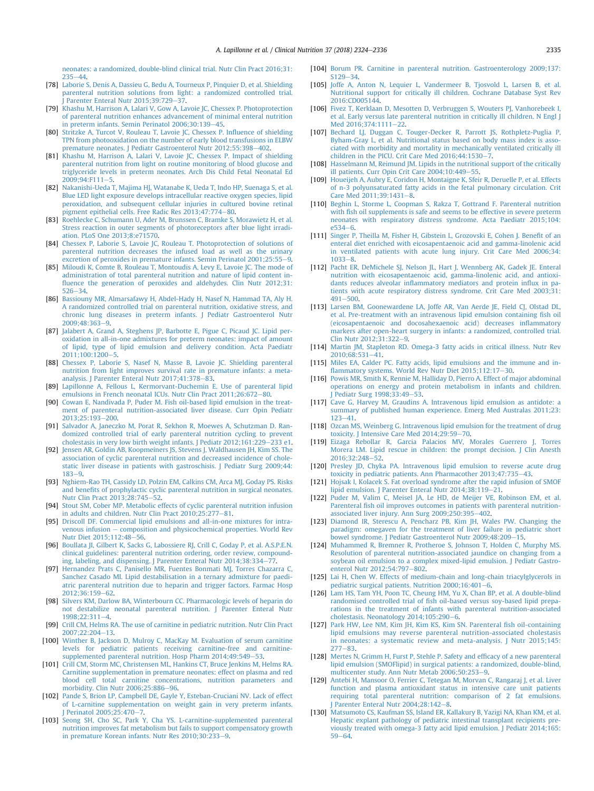<span id="page-11-0"></span>[neonates: a randomized, double-blind clinical trial. Nutr Clin Pract 2016;31:](http://refhub.elsevier.com/S0261-5614(18)31165-8/sref77)  $235 - 44$  $235 - 44$  $235 - 44$ 

- [78] [Laborie S, Denis A, Dassieu G, Bedu A, Tourneux P, Pinquier D, et al. Shielding](http://refhub.elsevier.com/S0261-5614(18)31165-8/sref78) [parenteral nutrition solutions from light: a randomized controlled trial.](http://refhub.elsevier.com/S0261-5614(18)31165-8/sref78) Parenter Enteral Nutr 2015;39:729 $-37$ .
- [79] [Khashu M, Harrison A, Lalari V, Gow A, Lavoie JC, Chessex P. Photoprotection](http://refhub.elsevier.com/S0261-5614(18)31165-8/sref79) [of parenteral nutrition enhances advancement of minimal enteral nutrition](http://refhub.elsevier.com/S0261-5614(18)31165-8/sref79) in preterm infants. Semin Perinatol  $2006;30:139-45$ .
- [80] [Stritzke A, Turcot V, Rouleau T, Lavoie JC, Chessex P. In](http://refhub.elsevier.com/S0261-5614(18)31165-8/sref80)fluence of shielding [TPN from photooxidation on the number of early blood transfusions in ELBW](http://refhub.elsevier.com/S0261-5614(18)31165-8/sref80) premature neonates. I Pediatr Gastroenterol Nutr 2012:55:398–[402](http://refhub.elsevier.com/S0261-5614(18)31165-8/sref80).
- [81] [Khashu M, Harrison A, Lalari V, Lavoie JC, Chessex P. Impact of shielding](http://refhub.elsevier.com/S0261-5614(18)31165-8/sref81) [parenteral nutrition from light on routine monitoring of blood glucose and](http://refhub.elsevier.com/S0261-5614(18)31165-8/sref81) [triglyceride levels in preterm neonates. Arch Dis Child Fetal Neonatal Ed](http://refhub.elsevier.com/S0261-5614(18)31165-8/sref81)  $2009:94:FT11-5$  $2009:94:FT11-5$ .
- [82] [Nakanishi-Ueda T, Majima HJ, Watanabe K, Ueda T, Indo HP, Suenaga S, et al.](http://refhub.elsevier.com/S0261-5614(18)31165-8/sref82) [Blue LED light exposure develops intracellular reactive oxygen species, lipid](http://refhub.elsevier.com/S0261-5614(18)31165-8/sref82) [peroxidation, and subsequent cellular injuries in cultured bovine retinal](http://refhub.elsevier.com/S0261-5614(18)31165-8/sref82) pigment epithelial cells. Free Radic Res 2013:47:774–[80](http://refhub.elsevier.com/S0261-5614(18)31165-8/sref82).
- [83] [Roehlecke C, Schumann U, Ader M, Brunssen C, Bramke S, Morawietz H, et al.](http://refhub.elsevier.com/S0261-5614(18)31165-8/sref83) [Stress reaction in outer segments of photoreceptors after blue light irradi](http://refhub.elsevier.com/S0261-5614(18)31165-8/sref83)[ation. PLoS One 2013;8:e71570](http://refhub.elsevier.com/S0261-5614(18)31165-8/sref83).
- [84] [Chessex P, Laborie S, Lavoie JC, Rouleau T. Photoprotection of solutions of](http://refhub.elsevier.com/S0261-5614(18)31165-8/sref84) [parenteral nutrition decreases the infused load as well as the urinary](http://refhub.elsevier.com/S0261-5614(18)31165-8/sref84) [excretion of peroxides in premature infants. Semin Perinatol 2001;25:55](http://refhub.elsevier.com/S0261-5614(18)31165-8/sref84)-[9](http://refhub.elsevier.com/S0261-5614(18)31165-8/sref84).
- [85] [Miloudi K, Comte B, Rouleau T, Montoudis A, Levy E, Lavoie JC. The mode of](http://refhub.elsevier.com/S0261-5614(18)31165-8/sref85) [administration of total parenteral nutrition and nature of lipid content in](http://refhub.elsevier.com/S0261-5614(18)31165-8/sref85)fl[uence the generation of peroxides and aldehydes. Clin Nutr 2012;31:](http://refhub.elsevier.com/S0261-5614(18)31165-8/sref85)  $526 - 34$  $526 - 34$  $526 - 34$
- [86] [Bassiouny MR, Almarsafawy H, Abdel-Hady H, Nasef N, Hammad TA, Aly H.](http://refhub.elsevier.com/S0261-5614(18)31165-8/sref86) [A randomized controlled trial on parenteral nutrition, oxidative stress, and](http://refhub.elsevier.com/S0261-5614(18)31165-8/sref86) [chronic lung diseases in preterm infants. J Pediatr Gastroenterol Nutr](http://refhub.elsevier.com/S0261-5614(18)31165-8/sref86)  $2009.48.363 - 9$  $2009.48.363 - 9$  $2009.48.363 - 9$
- [87] [Jalabert A, Grand A, Steghens JP, Barbotte E, Pigue C, Picaud JC. Lipid per](http://refhub.elsevier.com/S0261-5614(18)31165-8/sref87)[oxidation in all-in-one admixtures for preterm neonates: impact of amount](http://refhub.elsevier.com/S0261-5614(18)31165-8/sref87) [of lipid, type of lipid emulsion and delivery condition. Acta Paediatr](http://refhub.elsevier.com/S0261-5614(18)31165-8/sref87) [2011;100:1200](http://refhub.elsevier.com/S0261-5614(18)31165-8/sref87)-[5](http://refhub.elsevier.com/S0261-5614(18)31165-8/sref87).
- [88] [Chessex P, Laborie S, Nasef N, Masse B, Lavoie JC. Shielding parenteral](http://refhub.elsevier.com/S0261-5614(18)31165-8/sref88) [nutrition from light improves survival rate in premature infants: a meta](http://refhub.elsevier.com/S0261-5614(18)31165-8/sref88)analysis. J Parenter Enteral Nutr  $2017:41:378-83$ .
- [89] [Lapillonne A, Fellous L, Kermorvant-Duchemin E. Use of parenteral lipid](http://refhub.elsevier.com/S0261-5614(18)31165-8/sref89) [emulsions in French neonatal ICUs. Nutr Clin Pract 2011;26:672](http://refhub.elsevier.com/S0261-5614(18)31165-8/sref89)-[80](http://refhub.elsevier.com/S0261-5614(18)31165-8/sref89).
- [90] [Cowan E, Nandivada P, Puder M. Fish oil-based lipid emulsion in the treat](http://refhub.elsevier.com/S0261-5614(18)31165-8/sref90)[ment of parenteral nutrition-associated liver disease. Curr Opin Pediatr](http://refhub.elsevier.com/S0261-5614(18)31165-8/sref90)  $2013:25:193 - 200.$  $2013:25:193 - 200.$  $2013:25:193 - 200.$
- [91] [Salvador A, Janeczko M, Porat R, Sekhon R, Moewes A, Schutzman D. Ran](http://refhub.elsevier.com/S0261-5614(18)31165-8/sref91)[domized controlled trial of early parenteral nutrition cycling to prevent](http://refhub.elsevier.com/S0261-5614(18)31165-8/sref91) [cholestasis in very low birth weight infants. J Pediatr 2012;161:229](http://refhub.elsevier.com/S0261-5614(18)31165-8/sref91)-[233 e1](http://refhub.elsevier.com/S0261-5614(18)31165-8/sref91).
- [92] [Jensen AR, Goldin AB, Koopmeiners JS, Stevens J, Waldhausen JH, Kim SS. The](http://refhub.elsevier.com/S0261-5614(18)31165-8/sref92) [association of cyclic parenteral nutrition and decreased incidence of chole](http://refhub.elsevier.com/S0261-5614(18)31165-8/sref92)[static liver disease in patients with gastroschisis. J Pediatr Surg 2009;44:](http://refhub.elsevier.com/S0261-5614(18)31165-8/sref92)  $183 - 9.$  $183 - 9.$  $183 - 9.$  $183 - 9.$
- [93] [Nghiem-Rao TH, Cassidy LD, Polzin EM, Calkins CM, Arca MJ, Goday PS. Risks](http://refhub.elsevier.com/S0261-5614(18)31165-8/sref93) and benefi[ts of prophylactic cyclic parenteral nutrition in surgical neonates.](http://refhub.elsevier.com/S0261-5614(18)31165-8/sref93) [Nutr Clin Pract 2013;28:745](http://refhub.elsevier.com/S0261-5614(18)31165-8/sref93)-[52](http://refhub.elsevier.com/S0261-5614(18)31165-8/sref93).
- [94] [Stout SM, Cober MP. Metabolic effects of cyclic parenteral nutrition infusion](http://refhub.elsevier.com/S0261-5614(18)31165-8/sref94) [in adults and children. Nutr Clin Pract 2010;25:277](http://refhub.elsevier.com/S0261-5614(18)31165-8/sref94)-[81](http://refhub.elsevier.com/S0261-5614(18)31165-8/sref94).
- [95] [Driscoll DF. Commercial lipid emulsions and all-in-one mixtures for intra](http://refhub.elsevier.com/S0261-5614(18)31165-8/sref95)[venous infusion](http://refhub.elsevier.com/S0261-5614(18)31165-8/sref95) - [composition and physicochemical properties. World Rev](http://refhub.elsevier.com/S0261-5614(18)31165-8/sref95) Nutr Diet 2015:112:48-[56](http://refhub.elsevier.com/S0261-5614(18)31165-8/sref95).
- [96] [Boullata JI, Gilbert K, Sacks G, Labossiere RJ, Crill C, Goday P, et al. A.S.P.E.N.](http://refhub.elsevier.com/S0261-5614(18)31165-8/sref96) [clinical guidelines: parenteral nutrition ordering, order review, compound](http://refhub.elsevier.com/S0261-5614(18)31165-8/sref96)[ing, labeling, and dispensing. J Parenter Enteral Nutr 2014;38:334](http://refhub.elsevier.com/S0261-5614(18)31165-8/sref96)-[77.](http://refhub.elsevier.com/S0261-5614(18)31165-8/sref96)
- [97] [Hernandez Prats C, Panisello MR, Fuentes Bonmati MJ, Torres Chazarra C,](http://refhub.elsevier.com/S0261-5614(18)31165-8/sref97) [Sanchez Casado MI. Lipid destabilisation in a ternary admixture for paedi](http://refhub.elsevier.com/S0261-5614(18)31165-8/sref97)[atric parenteral nutrition due to heparin and trigger factors. Farmac Hosp](http://refhub.elsevier.com/S0261-5614(18)31165-8/sref97)  $2012:36:159-62.$  $2012:36:159-62.$
- [98] [Silvers KM, Darlow BA, Winterbourn CC. Pharmacologic levels of heparin do](http://refhub.elsevier.com/S0261-5614(18)31165-8/sref98) [not destabilize neonatal parenteral nutrition. J Parenter Enteral Nutr](http://refhub.elsevier.com/S0261-5614(18)31165-8/sref98) 1998:22:311-[4.](http://refhub.elsevier.com/S0261-5614(18)31165-8/sref98)
- [99] [Crill CM, Helms RA. The use of carnitine in pediatric nutrition. Nutr Clin Pract](http://refhub.elsevier.com/S0261-5614(18)31165-8/sref99)  $2007:22:204-13.$  $2007:22:204-13.$
- [100] [Winther B, Jackson D, Mulroy C, MacKay M. Evaluation of serum carnitine](http://refhub.elsevier.com/S0261-5614(18)31165-8/sref100) [levels for pediatric patients receiving carnitine-free and carnitine](http://refhub.elsevier.com/S0261-5614(18)31165-8/sref100)[supplemented parenteral nutrition. Hosp Pharm 2014;49:549](http://refhub.elsevier.com/S0261-5614(18)31165-8/sref100)-[53.](http://refhub.elsevier.com/S0261-5614(18)31165-8/sref100)
- [101] [Crill CM, Storm MC, Christensen ML, Hankins CT, Bruce Jenkins M, Helms RA.](http://refhub.elsevier.com/S0261-5614(18)31165-8/sref101) [Carnitine supplementation in premature neonates: effect on plasma and red](http://refhub.elsevier.com/S0261-5614(18)31165-8/sref101) [blood cell total carnitine concentrations, nutrition parameters and](http://refhub.elsevier.com/S0261-5614(18)31165-8/sref101) [morbidity. Clin Nutr 2006;25:886](http://refhub.elsevier.com/S0261-5614(18)31165-8/sref101)-[96.](http://refhub.elsevier.com/S0261-5614(18)31165-8/sref101)
- [102] [Pande S, Brion LP, Campbell DE, Gayle Y, Esteban-Cruciani NV. Lack of effect](http://refhub.elsevier.com/S0261-5614(18)31165-8/sref102) [of L-carnitine supplementation on weight gain in very preterm infants.](http://refhub.elsevier.com/S0261-5614(18)31165-8/sref102) [J Perinatol 2005;25:470](http://refhub.elsevier.com/S0261-5614(18)31165-8/sref102)-[7.](http://refhub.elsevier.com/S0261-5614(18)31165-8/sref102)
- [103] Seong SH, Cho SC, Park Y, Cha YS, L-carnitine-supplemented parenteral [nutrition improves fat metabolism but fails to support compensatory growth](http://refhub.elsevier.com/S0261-5614(18)31165-8/sref103) in premature Korean infants. Nutr Res  $2010;30:233-9$  $2010;30:233-9$ .
- [104] [Borum PR. Carnitine in parenteral nutrition. Gastroenterology 2009;137:](http://refhub.elsevier.com/S0261-5614(18)31165-8/sref104)  $S129 - 34$  $S129 - 34$
- [105] Joffe A, Anton N, Lequier L, Vandermeer B, Tiosvold L, Larsen B, et al. [Nutritional support for critically ill children. Cochrane Database Syst Rev](http://refhub.elsevier.com/S0261-5614(18)31165-8/sref105) [2016:CD005144](http://refhub.elsevier.com/S0261-5614(18)31165-8/sref105).
- [106] [Fivez T, Kerklaan D, Mesotten D, Verbruggen S, Wouters PJ, Vanhorebeek I,](http://refhub.elsevier.com/S0261-5614(18)31165-8/sref106) [et al. Early versus late parenteral nutrition in critically ill children. N Engl J](http://refhub.elsevier.com/S0261-5614(18)31165-8/sref106) Med  $2016$ ; 374: 1111 - [22](http://refhub.elsevier.com/S0261-5614(18)31165-8/sref106).
- [107] [Bechard LJ, Duggan C, Touger-Decker R, Parrott JS, Rothpletz-Puglia P,](http://refhub.elsevier.com/S0261-5614(18)31165-8/sref107) [Byham-Gray L, et al. Nutritional status based on body mass index is asso](http://refhub.elsevier.com/S0261-5614(18)31165-8/sref107)[ciated with morbidity and mortality in mechanically ventilated critically ill](http://refhub.elsevier.com/S0261-5614(18)31165-8/sref107) [children in the PICU. Crit Care Med 2016;44:1530](http://refhub.elsevier.com/S0261-5614(18)31165-8/sref107)–[7](http://refhub.elsevier.com/S0261-5614(18)31165-8/sref107).
- [108] [Hasselmann M, Reimund JM. Lipids in the nutritional support of the critically](http://refhub.elsevier.com/S0261-5614(18)31165-8/sref108) ill patients. Curr Opin Crit Care  $2004:10:449-55$  $2004:10:449-55$ .
- [109] [Houeijeh A, Aubry E, Coridon H, Montaigne K, Sfeir R, Deruelle P, et al. Effects](http://refhub.elsevier.com/S0261-5614(18)31165-8/sref109) [of n-3 polyunsaturated fatty acids in the fetal pulmonary circulation. Crit](http://refhub.elsevier.com/S0261-5614(18)31165-8/sref109)  $Care Med 2011:39:1431-8.$  $Care Med 2011:39:1431-8.$  $Care Med 2011:39:1431-8.$
- [110] [Beghin L, Storme L, Coopman S, Rakza T, Gottrand F. Parenteral nutrition](http://refhub.elsevier.com/S0261-5614(18)31165-8/sref110) with fi[sh oil supplements is safe and seems to be effective in severe preterm](http://refhub.elsevier.com/S0261-5614(18)31165-8/sref110) [neonates with respiratory distress syndrome. Acta Paediatr 2015;104:](http://refhub.elsevier.com/S0261-5614(18)31165-8/sref110)  $6534 - 6$  $6534 - 6$
- [111] [Singer P, Theilla M, Fisher H, Gibstein L, Grozovski E, Cohen J. Bene](http://refhub.elsevier.com/S0261-5614(18)31165-8/sref111)fit of an [enteral diet enriched with eicosapentaenoic acid and gamma-linolenic acid](http://refhub.elsevier.com/S0261-5614(18)31165-8/sref111) [in ventilated patients with acute lung injury. Crit Care Med 2006;34:](http://refhub.elsevier.com/S0261-5614(18)31165-8/sref111) [1033](http://refhub.elsevier.com/S0261-5614(18)31165-8/sref111)-8
- [112] [Pacht ER, DeMichele SJ, Nelson JL, Hart J, Wennberg AK, Gadek JE. Enteral](http://refhub.elsevier.com/S0261-5614(18)31165-8/sref112) [nutrition with eicosapentaenoic acid, gamma-linolenic acid, and antioxi-](http://refhub.elsevier.com/S0261-5614(18)31165-8/sref112)dants reduces alveolar infl[ammatory mediators and protein in](http://refhub.elsevier.com/S0261-5614(18)31165-8/sref112)flux in pa[tients with acute respiratory distress syndrome. Crit Care Med 2003;31:](http://refhub.elsevier.com/S0261-5614(18)31165-8/sref112)  $491 - 500$  $491 - 500$  $491 - 500$
- [113] [Larsen BM, Goonewardene LA, Joffe AR, Van Aerde JE, Field CJ, Olstad DL,](http://refhub.elsevier.com/S0261-5614(18)31165-8/sref113) [et al. Pre-treatment with an intravenous lipid emulsion containing](http://refhub.elsevier.com/S0261-5614(18)31165-8/sref113) fish oil [\(eicosapentaenoic and docosahexaenoic acid\) decreases in](http://refhub.elsevier.com/S0261-5614(18)31165-8/sref113)flammatory [markers after open-heart surgery in infants: a randomized, controlled trial.](http://refhub.elsevier.com/S0261-5614(18)31165-8/sref113) [Clin Nutr 2012;31:322](http://refhub.elsevier.com/S0261-5614(18)31165-8/sref113)-[9](http://refhub.elsevier.com/S0261-5614(18)31165-8/sref113).
- [114] [Martin JM, Stapleton RD. Omega-3 fatty acids in critical illness. Nutr Rev](http://refhub.elsevier.com/S0261-5614(18)31165-8/sref114)  $2010:68:531-41.$  $2010:68:531-41.$
- [115] [Miles EA, Calder PC. Fatty acids, lipid emulsions and the immune and in](http://refhub.elsevier.com/S0261-5614(18)31165-8/sref115)fl[ammatory systems. World Rev Nutr Diet 2015;112:17](http://refhub.elsevier.com/S0261-5614(18)31165-8/sref115)-[30.](http://refhub.elsevier.com/S0261-5614(18)31165-8/sref115)
- [116] [Powis MR, Smith K, Rennie M, Halliday D, Pierro A. Effect of major abdominal](http://refhub.elsevier.com/S0261-5614(18)31165-8/sref116) [operations on energy and protein metabolism in infants and children.](http://refhub.elsevier.com/S0261-5614(18)31165-8/sref116) [J Pediatr Surg 1998;33:49](http://refhub.elsevier.com/S0261-5614(18)31165-8/sref116)-[53.](http://refhub.elsevier.com/S0261-5614(18)31165-8/sref116)
- [117] [Cave G, Harvey M, Graudins A. Intravenous lipid emulsion as antidote: a](http://refhub.elsevier.com/S0261-5614(18)31165-8/sref117) [summary of published human experience. Emerg Med Australas 2011;23:](http://refhub.elsevier.com/S0261-5614(18)31165-8/sref117)  $123 - 41.$  $123 - 41.$  $123 - 41.$
- [118] [Ozcan MS, Weinberg G. Intravenous lipid emulsion for the treatment of drug](http://refhub.elsevier.com/S0261-5614(18)31165-8/sref118) [toxicity. J Intensive Care Med 2014;29:59](http://refhub.elsevier.com/S0261-5614(18)31165-8/sref118)-[70](http://refhub.elsevier.com/S0261-5614(18)31165-8/sref118).
- [119] [Eizaga Rebollar R, Garcia Palacios MV, Morales Guerrero J, Torres](http://refhub.elsevier.com/S0261-5614(18)31165-8/sref119) [Morera LM. Lipid rescue in children: the prompt decision. J Clin Anesth](http://refhub.elsevier.com/S0261-5614(18)31165-8/sref119)  $2016:32:248 - 52.$  $2016:32:248 - 52.$
- [120] [Presley JD, Chyka PA. Intravenous lipid emulsion to reverse acute drug](http://refhub.elsevier.com/S0261-5614(18)31165-8/sref120) [toxicity in pediatric patients. Ann Pharmacother 2013;47:735](http://refhub.elsevier.com/S0261-5614(18)31165-8/sref120)-[43.](http://refhub.elsevier.com/S0261-5614(18)31165-8/sref120)
- [121] [Hojsak I, Kolacek S. Fat overload syndrome after the rapid infusion of SMOF](http://refhub.elsevier.com/S0261-5614(18)31165-8/sref121) [lipid emulsion. J Parenter Enteral Nutr 2014;38:119](http://refhub.elsevier.com/S0261-5614(18)31165-8/sref121)-[21.](http://refhub.elsevier.com/S0261-5614(18)31165-8/sref121)
- [122] [Puder M, Valim C, Meisel JA, Le HD, de Meijer VE, Robinson EM, et al.](http://refhub.elsevier.com/S0261-5614(18)31165-8/sref122) Parenteral fi[sh oil improves outcomes in patients with parenteral nutrition](http://refhub.elsevier.com/S0261-5614(18)31165-8/sref122)[associated liver injury. Ann Surg 2009;250:395](http://refhub.elsevier.com/S0261-5614(18)31165-8/sref122)-[402.](http://refhub.elsevier.com/S0261-5614(18)31165-8/sref122)
- [123] [Diamond IR, Sterescu A, Pencharz PB, Kim JH, Wales PW. Changing the](http://refhub.elsevier.com/S0261-5614(18)31165-8/sref123) [paradigm: omegaven for the treatment of liver failure in pediatric short](http://refhub.elsevier.com/S0261-5614(18)31165-8/sref123) [bowel syndrome. J Pediatr Gastroenterol Nutr 2009;48:209](http://refhub.elsevier.com/S0261-5614(18)31165-8/sref123)-[15](http://refhub.elsevier.com/S0261-5614(18)31165-8/sref123).
- [124] [Muhammed R, Bremner R, Protheroe S, Johnson T, Holden C, Murphy MS.](http://refhub.elsevier.com/S0261-5614(18)31165-8/sref124) [Resolution of parenteral nutrition-associated jaundice on changing from a](http://refhub.elsevier.com/S0261-5614(18)31165-8/sref124) [soybean oil emulsion to a complex mixed-lipid emulsion. J Pediatr Gastro](http://refhub.elsevier.com/S0261-5614(18)31165-8/sref124)[enterol Nutr 2012;54:797](http://refhub.elsevier.com/S0261-5614(18)31165-8/sref124)-[802.](http://refhub.elsevier.com/S0261-5614(18)31165-8/sref124)
- [125] [Lai H, Chen W. Effects of medium-chain and long-chain triacylglycerols in](http://refhub.elsevier.com/S0261-5614(18)31165-8/sref125) [pediatric surgical patients. Nutrition 2000;16:401](http://refhub.elsevier.com/S0261-5614(18)31165-8/sref125)-[6](http://refhub.elsevier.com/S0261-5614(18)31165-8/sref125).
- [126] [Lam HS, Tam YH, Poon TC, Cheung HM, Yu X, Chan BP, et al. A double-blind](http://refhub.elsevier.com/S0261-5614(18)31165-8/sref126) randomised controlled trial of fi[sh oil-based versus soy-based lipid prepa](http://refhub.elsevier.com/S0261-5614(18)31165-8/sref126)[rations in the treatment of infants with parenteral nutrition-associated](http://refhub.elsevier.com/S0261-5614(18)31165-8/sref126) cholestasis. Neonatology  $2014;105:290-6$ .
- [127] [Park HW, Lee NM, Kim JH, Kim KS, Kim SN. Parenteral](http://refhub.elsevier.com/S0261-5614(18)31165-8/sref127) fish oil-containing [lipid emulsions may reverse parenteral](http://refhub.elsevier.com/S0261-5614(18)31165-8/sref127) nutrition-associated cholestasis [in neonates: a systematic review and meta-analysis. J Nutr 2015;145:](http://refhub.elsevier.com/S0261-5614(18)31165-8/sref127)  $277 - 83$  $277 - 83$  $277 - 83$ .
- [128] [Mertes N, Grimm H, Furst P, Stehle P. Safety and ef](http://refhub.elsevier.com/S0261-5614(18)31165-8/sref128)ficacy of a new parenteral [lipid emulsion \(SMOFlipid\) in surgical patients: a randomized, double-blind,](http://refhub.elsevier.com/S0261-5614(18)31165-8/sref128) [multicenter study. Ann Nutr Metab 2006;50:253](http://refhub.elsevier.com/S0261-5614(18)31165-8/sref128)-[9](http://refhub.elsevier.com/S0261-5614(18)31165-8/sref128).
- [129] [Antebi H, Mansoor O, Ferrier C, Tetegan M, Morvan C, Rangaraj J, et al. Liver](http://refhub.elsevier.com/S0261-5614(18)31165-8/sref129) [function and plasma antioxidant status in intensive care unit patients](http://refhub.elsevier.com/S0261-5614(18)31165-8/sref129) [requiring total parenteral nutrition: comparison of 2 fat emulsions.](http://refhub.elsevier.com/S0261-5614(18)31165-8/sref129) [J Parenter Enteral Nutr 2004;28:142](http://refhub.elsevier.com/S0261-5614(18)31165-8/sref129)-[8](http://refhub.elsevier.com/S0261-5614(18)31165-8/sref129).
- [130] [Matsumoto CS, Kaufman SS, Island ER, Kallakury B, Yazigi NA, Khan KM, et al.](http://refhub.elsevier.com/S0261-5614(18)31165-8/sref130) [Hepatic explant pathology of pediatric intestinal transplant recipients pre](http://refhub.elsevier.com/S0261-5614(18)31165-8/sref130)[viously treated with omega-3 fatty acid lipid emulsion. J Pediatr 2014;165:](http://refhub.elsevier.com/S0261-5614(18)31165-8/sref130)  $59 - 64.$  $59 - 64.$  $59 - 64.$